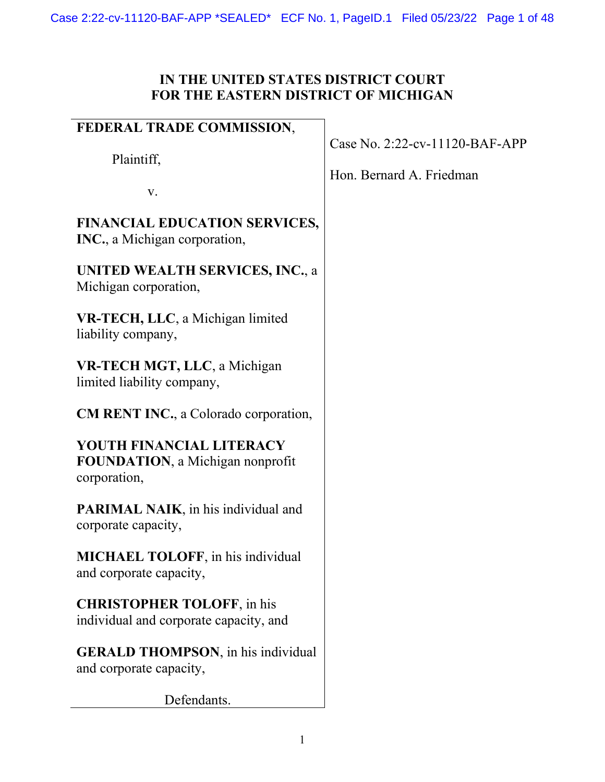# **IN THE UNITED STATES DISTRICT COURT FOR THE EASTERN DISTRICT OF MICHIGAN**

| FEDERAL TRADE COMMISSION,                                                            |                                |
|--------------------------------------------------------------------------------------|--------------------------------|
|                                                                                      | Case No. 2:22-cv-11120-BAF-APP |
| Plaintiff,                                                                           |                                |
|                                                                                      | Hon. Bernard A. Friedman       |
| V.                                                                                   |                                |
| <b>FINANCIAL EDUCATION SERVICES,</b><br><b>INC.</b> , a Michigan corporation,        |                                |
| <b>UNITED WEALTH SERVICES, INC., a</b><br>Michigan corporation,                      |                                |
| VR-TECH, LLC, a Michigan limited<br>liability company,                               |                                |
| VR-TECH MGT, LLC, a Michigan<br>limited liability company,                           |                                |
| <b>CM RENT INC., a Colorado corporation,</b>                                         |                                |
| YOUTH FINANCIAL LITERACY<br><b>FOUNDATION</b> , a Michigan nonprofit<br>corporation, |                                |
| <b>PARIMAL NAIK</b> , in his individual and<br>corporate capacity,                   |                                |
| <b>MICHAEL TOLOFF</b> , in his individual<br>and corporate capacity,                 |                                |
| <b>CHRISTOPHER TOLOFF, in his</b><br>individual and corporate capacity, and          |                                |
| <b>GERALD THOMPSON</b> , in his individual<br>and corporate capacity,                |                                |
| Defendants.                                                                          |                                |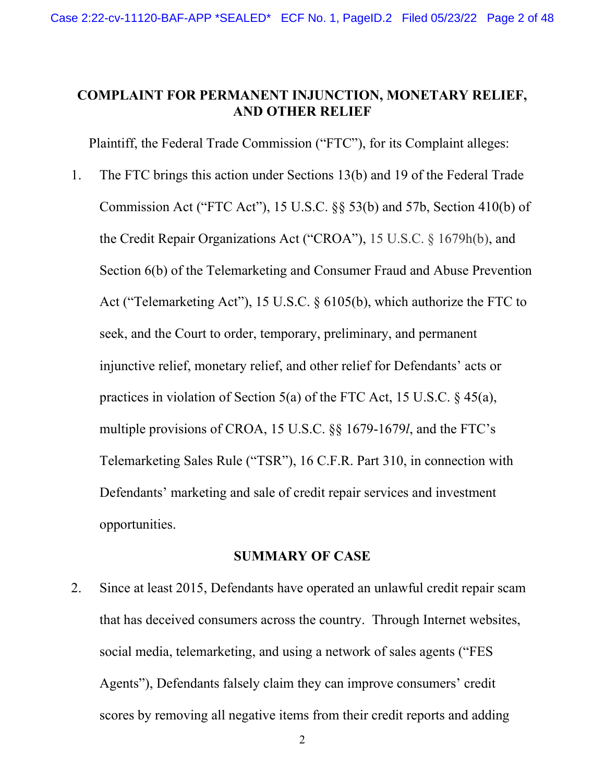## **COMPLAINT FOR PERMANENT INJUNCTION, MONETARY RELIEF, AND OTHER RELIEF**

Plaintiff, the Federal Trade Commission ("FTC"), for its Complaint alleges:

 Section 6(b) of the Telemarketing and Consumer Fraud and Abuse Prevention practices in violation of Section 5(a) of the FTC Act, 15 U.S.C. § 45(a), 1. The FTC brings this action under Sections 13(b) and 19 of the Federal Trade Commission Act ("FTC Act"), 15 U.S.C. §§ 53(b) and 57b, Section 410(b) of the Credit Repair Organizations Act ("CROA"), 15 U.S.C. § 1679h(b), and Act ("Telemarketing Act"), 15 U.S.C. § 6105(b), which authorize the FTC to seek, and the Court to order, temporary, preliminary, and permanent injunctive relief, monetary relief, and other relief for Defendants' acts or multiple provisions of CROA, 15 U.S.C. §§ 1679-1679*l*, and the FTC's Telemarketing Sales Rule ("TSR"), 16 C.F.R. Part 310, in connection with Defendants' marketing and sale of credit repair services and investment opportunities.

## **SUMMARY OF CASE**

2. Since at least 2015, Defendants have operated an unlawful credit repair scam that has deceived consumers across the country. Through Internet websites, social media, telemarketing, and using a network of sales agents ("FES Agents"), Defendants falsely claim they can improve consumers' credit scores by removing all negative items from their credit reports and adding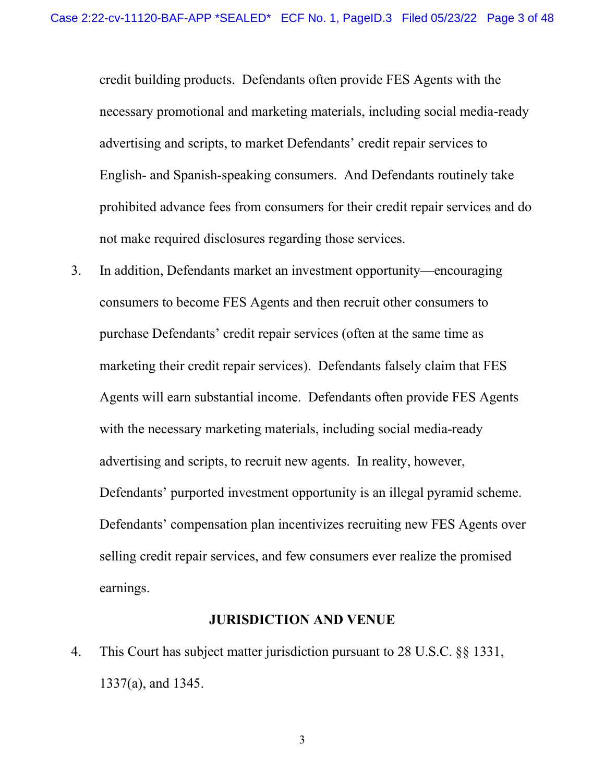English- and Spanish-speaking consumers. And Defendants routinely take not make required disclosures regarding those services. credit building products. Defendants often provide FES Agents with the necessary promotional and marketing materials, including social media-ready advertising and scripts, to market Defendants' credit repair services to prohibited advance fees from consumers for their credit repair services and do

 purchase Defendants' credit repair services (often at the same time as Agents will earn substantial income. Defendants often provide FES Agents advertising and scripts, to recruit new agents. In reality, however, Defendants' purported investment opportunity is an illegal pyramid scheme. 3. In addition, Defendants market an investment opportunity—encouraging consumers to become FES Agents and then recruit other consumers to marketing their credit repair services). Defendants falsely claim that FES with the necessary marketing materials, including social media-ready Defendants' compensation plan incentivizes recruiting new FES Agents over selling credit repair services, and few consumers ever realize the promised earnings.

## **JURISDICTION AND VENUE**

 4. This Court has subject matter jurisdiction pursuant to 28 U.S.C. §§ 1331, 1337(a), and 1345.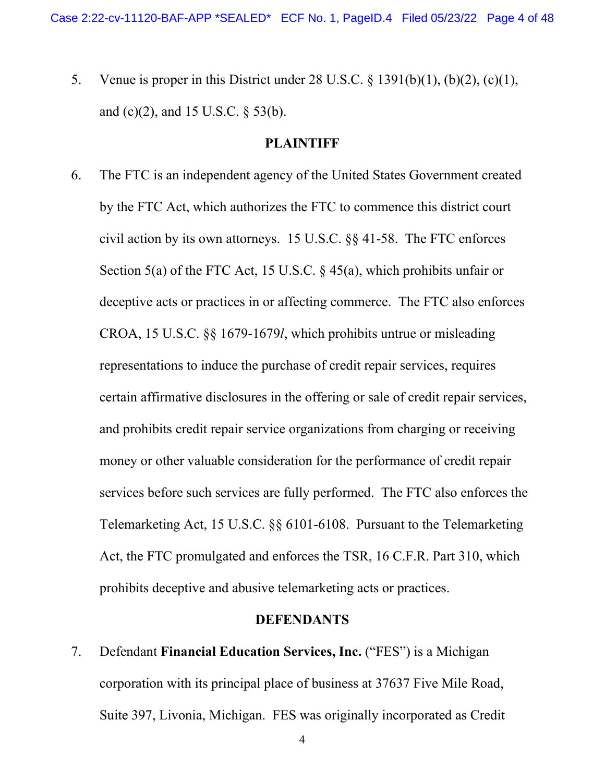and (c)(2), and 15 U.S.C. § 53(b). 5. Venue is proper in this District under 28 U.S.C. § 1391(b)(1), (b)(2), (c)(1),

#### **PLAINTIFF**

 civil action by its own attorneys. 15 U.S.C. §§ 41-58. The FTC enforces Section 5(a) of the FTC Act, 15 U.S.C. § 45(a), which prohibits unfair or deceptive acts or practices in or affecting commerce. The FTC also enforces CROA, 15 U.S.C. §§ 1679-1679*l*, which prohibits untrue or misleading representations to induce the purchase of credit repair services, requires money or other valuable consideration for the performance of credit repair prohibits deceptive and abusive telemarketing acts or practices. 6. The FTC is an independent agency of the United States Government created by the FTC Act, which authorizes the FTC to commence this district court certain affirmative disclosures in the offering or sale of credit repair services, and prohibits credit repair service organizations from charging or receiving services before such services are fully performed. The FTC also enforces the Telemarketing Act, 15 U.S.C. §§ 6101-6108. Pursuant to the Telemarketing Act, the FTC promulgated and enforces the TSR, 16 C.F.R. Part 310, which

## **DEFENDANTS**

7. Defendant **Financial Education Services, Inc.** ("FES") is a Michigan corporation with its principal place of business at 37637 Five Mile Road, Suite 397, Livonia, Michigan. FES was originally incorporated as Credit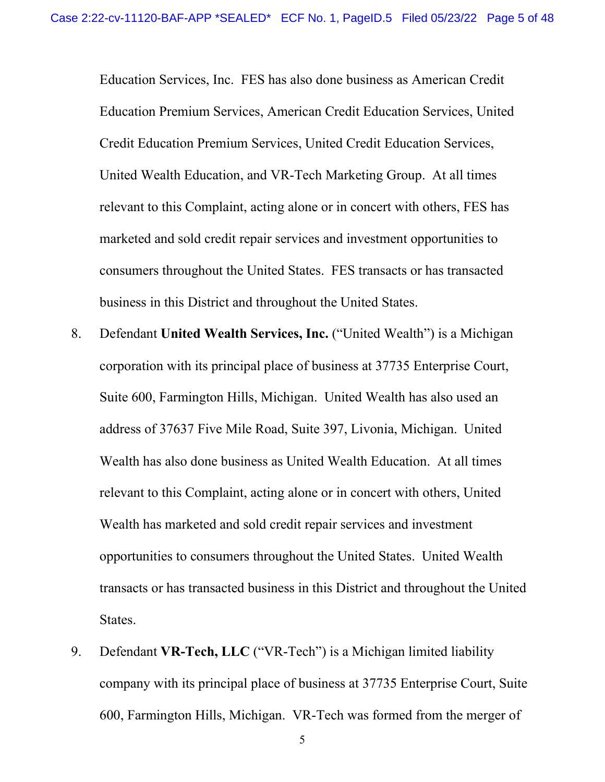United Wealth Education, and VR-Tech Marketing Group. At all times Education Services, Inc. FES has also done business as American Credit Education Premium Services, American Credit Education Services, United Credit Education Premium Services, United Credit Education Services, relevant to this Complaint, acting alone or in concert with others, FES has marketed and sold credit repair services and investment opportunities to consumers throughout the United States. FES transacts or has transacted business in this District and throughout the United States.

- address of 37637 Five Mile Road, Suite 397, Livonia, Michigan. United opportunities to consumers throughout the United States. United Wealth 8. Defendant **United Wealth Services, Inc.** ("United Wealth") is a Michigan corporation with its principal place of business at 37735 Enterprise Court, Suite 600, Farmington Hills, Michigan. United Wealth has also used an Wealth has also done business as United Wealth Education. At all times relevant to this Complaint, acting alone or in concert with others, United Wealth has marketed and sold credit repair services and investment transacts or has transacted business in this District and throughout the United States.
- company with its principal place of business at 37735 Enterprise Court, Suite 9. Defendant **VR-Tech, LLC** ("VR-Tech") is a Michigan limited liability 600, Farmington Hills, Michigan. VR-Tech was formed from the merger of

5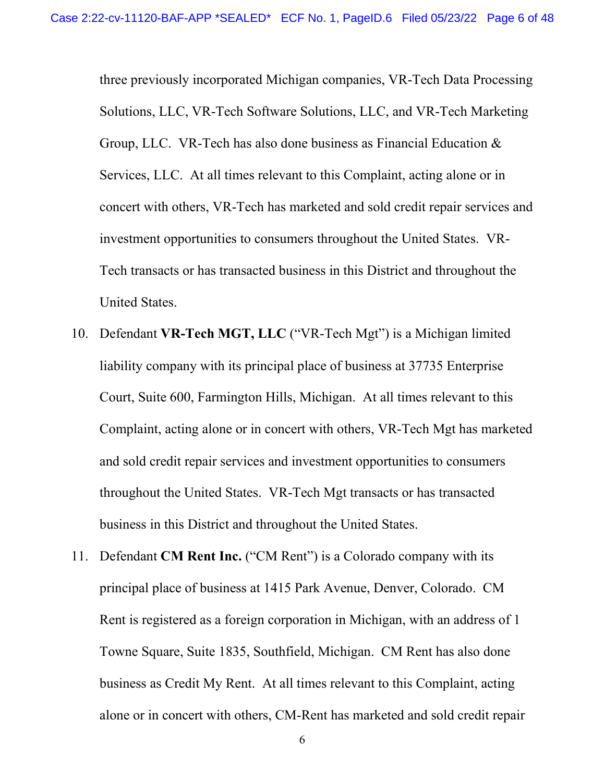investment opportunities to consumers throughout the United States. VRthree previously incorporated Michigan companies, VR-Tech Data Processing Solutions, LLC, VR-Tech Software Solutions, LLC, and VR-Tech Marketing Group, LLC. VR-Tech has also done business as Financial Education & Services, LLC. At all times relevant to this Complaint, acting alone or in concert with others, VR-Tech has marketed and sold credit repair services and Tech transacts or has transacted business in this District and throughout the United States.

- 10. Defendant **VR-Tech MGT, LLC** ("VR-Tech Mgt") is a Michigan limited liability company with its principal place of business at 37735 Enterprise Court, Suite 600, Farmington Hills, Michigan. At all times relevant to this Complaint, acting alone or in concert with others, VR-Tech Mgt has marketed and sold credit repair services and investment opportunities to consumers throughout the United States. VR-Tech Mgt transacts or has transacted business in this District and throughout the United States.
- 11. Defendant **CM Rent Inc.** ("CM Rent") is a Colorado company with its principal place of business at 1415 Park Avenue, Denver, Colorado. CM Towne Square, Suite 1835, Southfield, Michigan. CM Rent has also done business as Credit My Rent. At all times relevant to this Complaint, acting Rent is registered as a foreign corporation in Michigan, with an address of 1 alone or in concert with others, CM-Rent has marketed and sold credit repair

6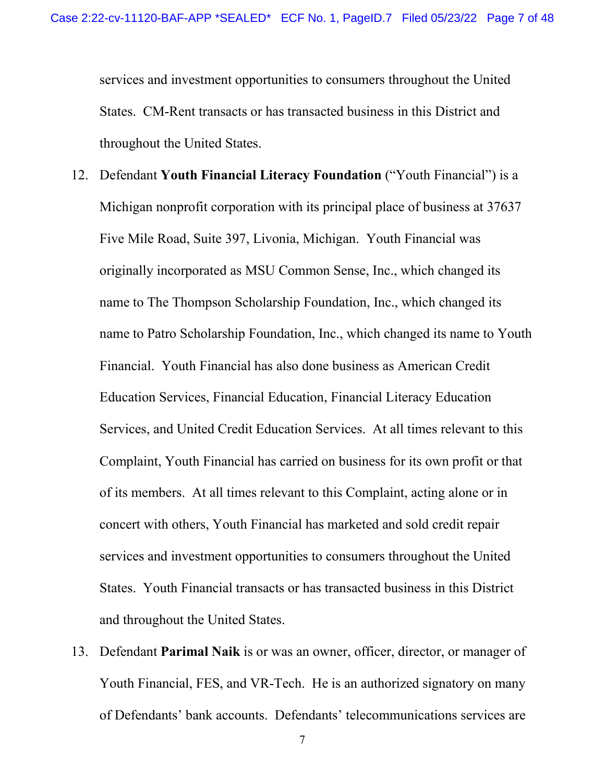services and investment opportunities to consumers throughout the United States. CM-Rent transacts or has transacted business in this District and throughout the United States.

- 12. Defendant **Youth Financial Literacy Foundation** ("Youth Financial") is a Financial. Youth Financial has also done business as American Credit Services, and United Credit Education Services. At all times relevant to this of its members. At all times relevant to this Complaint, acting alone or in States. Youth Financial transacts or has transacted business in this District Michigan nonprofit corporation with its principal place of business at 37637 Five Mile Road, Suite 397, Livonia, Michigan. Youth Financial was originally incorporated as MSU Common Sense, Inc., which changed its name to The Thompson Scholarship Foundation, Inc., which changed its name to Patro Scholarship Foundation, Inc., which changed its name to Youth Education Services, Financial Education, Financial Literacy Education Complaint, Youth Financial has carried on business for its own profit or that concert with others, Youth Financial has marketed and sold credit repair services and investment opportunities to consumers throughout the United and throughout the United States.
- of Defendants' bank accounts. Defendants' telecommunications services are 13. Defendant **Parimal Naik** is or was an owner, officer, director, or manager of Youth Financial, FES, and VR-Tech. He is an authorized signatory on many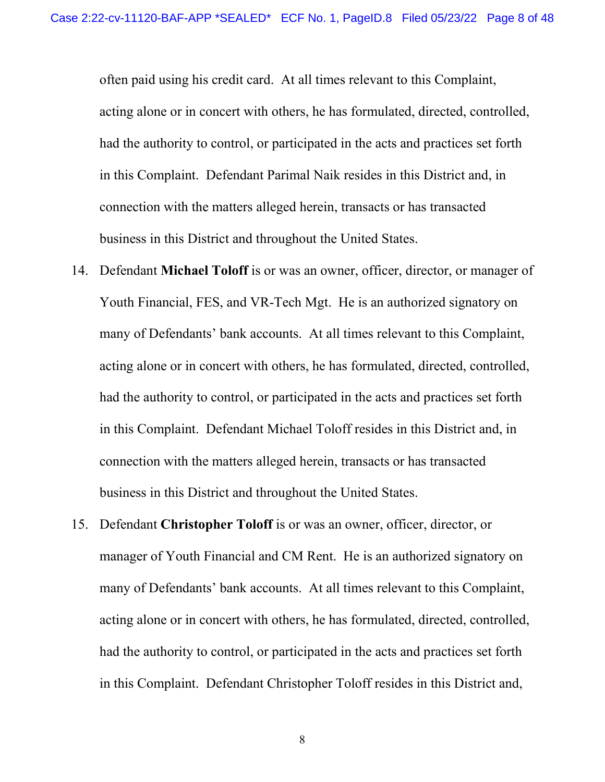often paid using his credit card. At all times relevant to this Complaint, acting alone or in concert with others, he has formulated, directed, controlled, had the authority to control, or participated in the acts and practices set forth in this Complaint. Defendant Parimal Naik resides in this District and, in connection with the matters alleged herein, transacts or has transacted business in this District and throughout the United States.

- Youth Financial, FES, and VR-Tech Mgt. He is an authorized signatory on 14. Defendant **Michael Toloff** is or was an owner, officer, director, or manager of many of Defendants' bank accounts. At all times relevant to this Complaint, acting alone or in concert with others, he has formulated, directed, controlled, had the authority to control, or participated in the acts and practices set forth in this Complaint. Defendant Michael Toloff resides in this District and, in connection with the matters alleged herein, transacts or has transacted business in this District and throughout the United States.
- many of Defendants' bank accounts. At all times relevant to this Complaint, 15. Defendant **Christopher Toloff** is or was an owner, officer, director, or manager of Youth Financial and CM Rent. He is an authorized signatory on acting alone or in concert with others, he has formulated, directed, controlled, had the authority to control, or participated in the acts and practices set forth in this Complaint. Defendant Christopher Toloff resides in this District and,

8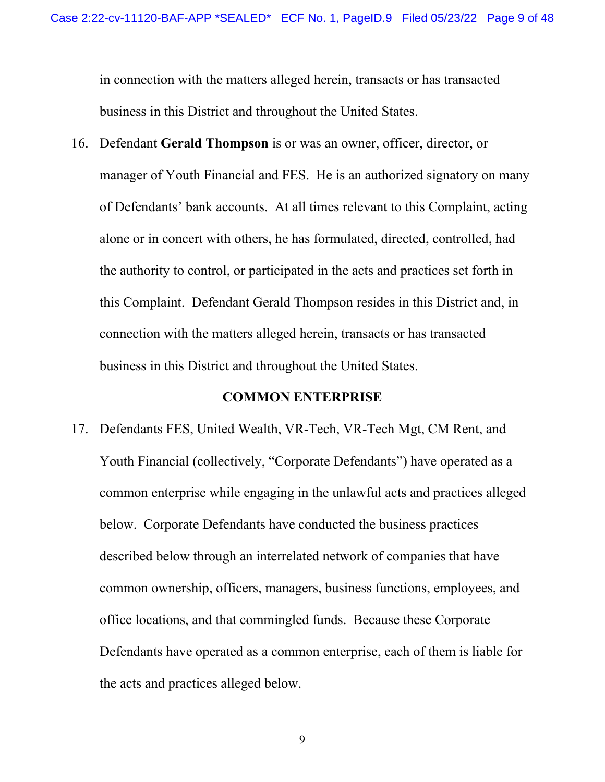in connection with the matters alleged herein, transacts or has transacted business in this District and throughout the United States.

 manager of Youth Financial and FES. He is an authorized signatory on many 16. Defendant **Gerald Thompson** is or was an owner, officer, director, or of Defendants' bank accounts. At all times relevant to this Complaint, acting alone or in concert with others, he has formulated, directed, controlled, had the authority to control, or participated in the acts and practices set forth in this Complaint. Defendant Gerald Thompson resides in this District and, in connection with the matters alleged herein, transacts or has transacted business in this District and throughout the United States.

## **COMMON ENTERPRISE**

 Defendants have operated as a common enterprise, each of them is liable for 17. Defendants FES, United Wealth, VR-Tech, VR-Tech Mgt, CM Rent, and Youth Financial (collectively, "Corporate Defendants") have operated as a common enterprise while engaging in the unlawful acts and practices alleged below. Corporate Defendants have conducted the business practices described below through an interrelated network of companies that have common ownership, officers, managers, business functions, employees, and office locations, and that commingled funds. Because these Corporate the acts and practices alleged below.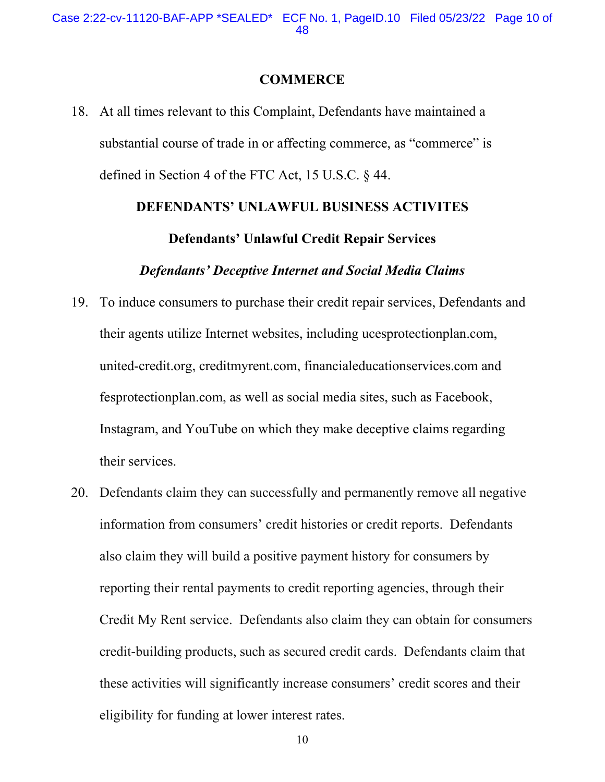#### **COMMERCE**

substantial course of trade in or affecting commerce, as "commerce" is defined in Section 4 of the FTC Act, 15 U.S.C. § 44. 18. At all times relevant to this Complaint, Defendants have maintained a

# **DEFENDANTS' UNLAWFUL BUSINESS ACTIVITES**

## **Defendants' Unlawful Credit Repair Services**

#### *Defendants' Deceptive Internet and Social Media Claims*

- 19. To induce consumers to purchase their credit repair services, Defendants and their agents utilize Internet websites, including [ucesprotectionplan.com,](https://ucesprotectionplan.com) [united-credit.org,](https://united-credit.org) [creditmyrent.com,](https://creditmyrent.com) [financialeducationservices.com](https://financialeducationservices.com) and [fesprotectionplan.com](https://fesprotectionplan.com), as well as social media sites, such as Facebook, Instagram, and YouTube on which they make deceptive claims regarding their services.
- information from consumers' credit histories or credit reports. Defendants credit-building products, such as secured credit cards. Defendants claim that eligibility for funding at lower interest rates.<br>10 20. Defendants claim they can successfully and permanently remove all negative also claim they will build a positive payment history for consumers by reporting their rental payments to credit reporting agencies, through their Credit My Rent service. Defendants also claim they can obtain for consumers these activities will significantly increase consumers' credit scores and their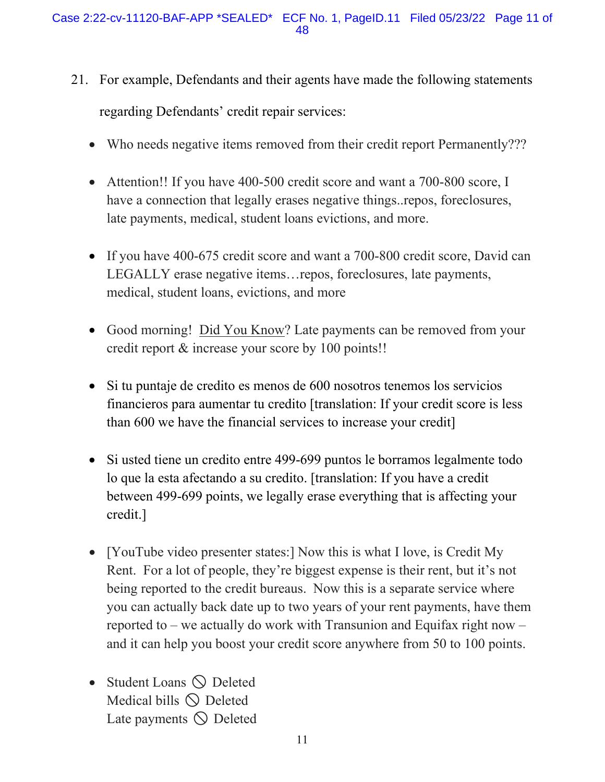- 21. For example, Defendants and their agents have made the following statements regarding Defendants' credit repair services:
	- Who needs negative items removed from their credit report Permanently???
	- Attention!! If you have 400-500 credit score and want a 700-800 score, I have a connection that legally erases negative things..repos, foreclosures, late payments, medical, student loans evictions, and more.
	- LEGALLY erase negative items…repos, foreclosures, late payments, • If you have 400-675 credit score and want a 700-800 credit score, David can medical, student loans, evictions, and more
	- Good morning! Did You Know? Late payments can be removed from your credit report & increase your score by 100 points!!
	- Si tu puntaje de credito es menos de 600 nosotros tenemos los servicios financieros para aumentar tu credito [translation: If your credit score is less than 600 we have the financial services to increase your credit]
	- Si usted tiene un credito entre 499-699 puntos le borramos legalmente todo lo que la esta afectando a su credito. [translation: If you have a credit between 499-699 points, we legally erase everything that is affecting your credit.]
	- Rent. For a lot of people, they're biggest expense is their rent, but it's not • [YouTube video presenter states:] Now this is what I love, is Credit My being reported to the credit bureaus. Now this is a separate service where you can actually back date up to two years of your rent payments, have them reported to – we actually do work with Transunion and Equifax right now – and it can help you boost your credit score anywhere from 50 to 100 points.
	- Student Loans  $\bigcirc$  Deleted Medical bills  $\bigcirc$  Deleted Late payments  $\bigcirc$  Deleted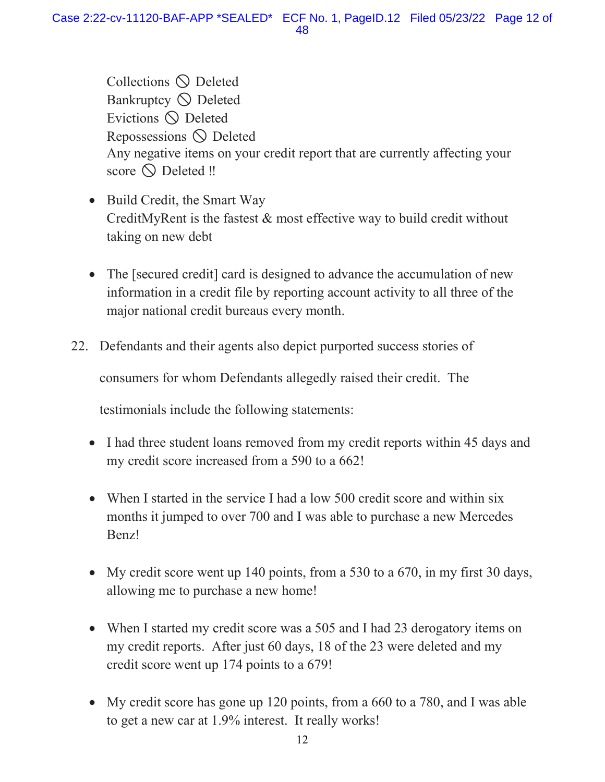Collections  $\bigcirc$  Deleted Bankruptcy  $\bigcirc$  Deleted Evictions  $\bigcirc$  Deleted Repossessions  $\bigcirc$  Deleted score Deleted ‼ Any negative items on your credit report that are currently affecting your

- Build Credit, the Smart Way CreditMyRent is the fastest & most effective way to build credit without taking on new debt
- The [secured credit] card is designed to advance the accumulation of new information in a credit file by reporting account activity to all three of the major national credit bureaus every month.
- 22. Defendants and their agents also depict purported success stories of

consumers for whom Defendants allegedly raised their credit. The

testimonials include the following statements:

- I had three student loans removed from my credit reports within 45 days and my credit score increased from a 590 to a 662!
- When I started in the service I had a low 500 credit score and within six months it jumped to over 700 and I was able to purchase a new Mercedes Benz!
- My credit score went up 140 points, from a 530 to a 670, in my first 30 days, allowing me to purchase a new home!
- my credit reports. After just 60 days, 18 of the 23 were deleted and my • When I started my credit score was a 505 and I had 23 derogatory items on credit score went up 174 points to a 679!
- My credit score has gone up 120 points, from a 660 to a 780, and I was able to get a new car at 1.9% interest. It really works!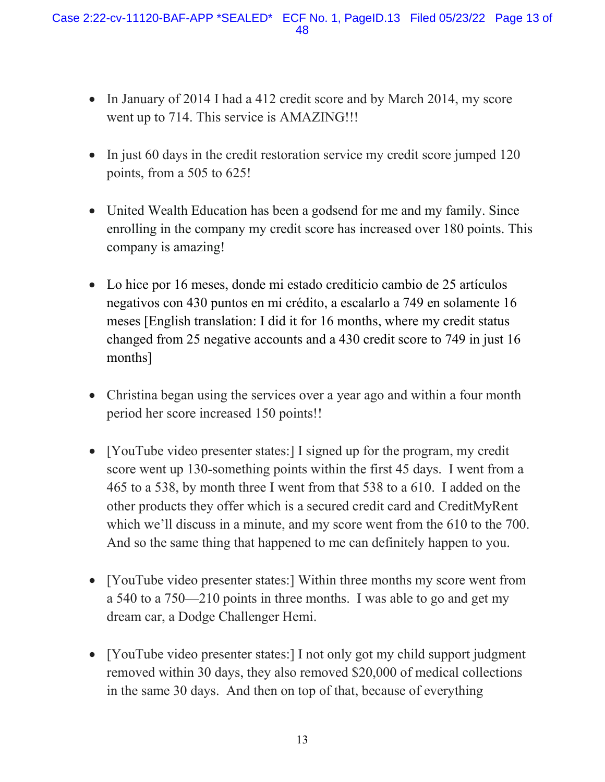- • In January of 2014 I had a 412 credit score and by March 2014, my score went up to 714. This service is AMAZING!!!
- In just 60 days in the credit restoration service my credit score jumped 120 points, from a 505 to 625!
- United Wealth Education has been a godsend for me and my family. Since enrolling in the company my credit score has increased over 180 points. This company is amazing!
- Lo hice por 16 meses, donde mi estado crediticio cambio de 25 artículos negativos con 430 puntos en mi crédito, a escalarlo a 749 en solamente 16 meses [English translation: I did it for 16 months, where my credit status changed from 25 negative accounts and a 430 credit score to 749 in just 16 months]
- Christina began using the services over a year ago and within a four month period her score increased 150 points!!
- which we'll discuss in a minute, and my score went from the 610 to the 700. • [YouTube video presenter states:] I signed up for the program, my credit score went up 130-something points within the first 45 days. I went from a 465 to a 538, by month three I went from that 538 to a 610. I added on the other products they offer which is a secured credit card and CreditMyRent And so the same thing that happened to me can definitely happen to you.
- [YouTube video presenter states:] Within three months my score went from a 540 to a 750—210 points in three months. I was able to go and get my dream car, a Dodge Challenger Hemi.
- [YouTube video presenter states:] I not only got my child support judgment removed within 30 days, they also removed \$20,000 of medical collections in the same 30 days. And then on top of that, because of everything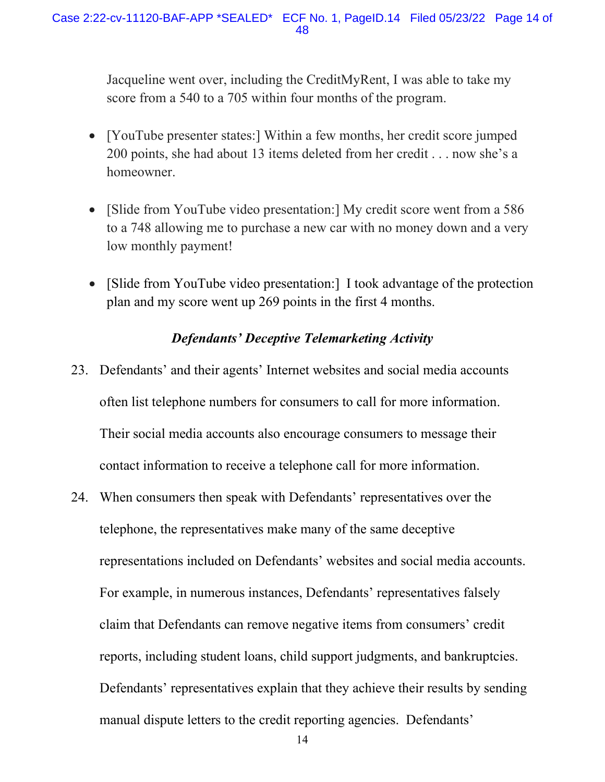Jacqueline went over, including the CreditMyRent, I was able to take my score from a 540 to a 705 within four months of the program.

- • [YouTube presenter states:] Within a few months, her credit score jumped 200 points, she had about 13 items deleted from her credit . . . now she's a homeowner.
- • [Slide from YouTube video presentation:] My credit score went from a 586 to a 748 allowing me to purchase a new car with no money down and a very low monthly payment!
- • [Slide from YouTube video presentation:] I took advantage of the protection plan and my score went up 269 points in the first 4 months.

# *Defendants' Deceptive Telemarketing Activity*

- 23. Defendants' and their agents' Internet websites and social media accounts often list telephone numbers for consumers to call for more information. Their social media accounts also encourage consumers to message their contact information to receive a telephone call for more information.
- telephone, the representatives make many of the same deceptive For example, in numerous instances, Defendants' representatives falsely 24. When consumers then speak with Defendants' representatives over the representations included on Defendants' websites and social media accounts. claim that Defendants can remove negative items from consumers' credit reports, including student loans, child support judgments, and bankruptcies. Defendants' representatives explain that they achieve their results by sending manual dispute letters to the credit reporting agencies. Defendants'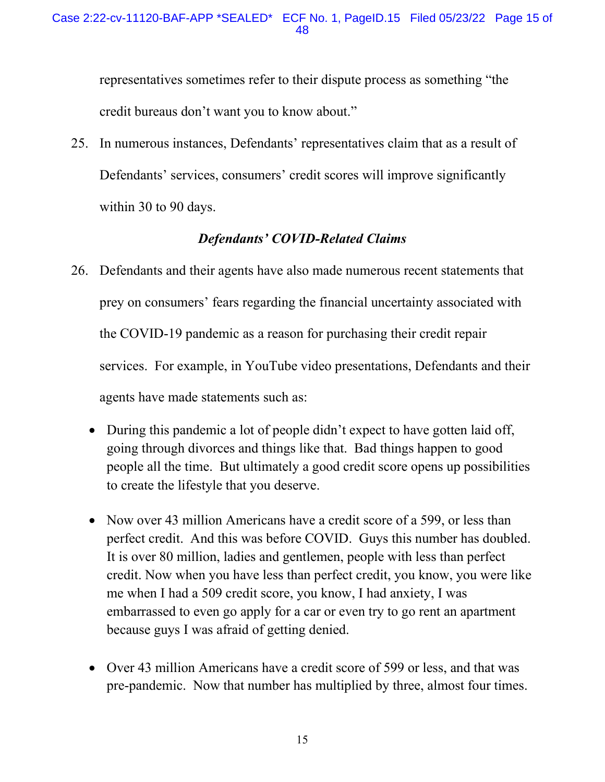representatives sometimes refer to their dispute process as something "the credit bureaus don't want you to know about."

 Defendants' services, consumers' credit scores will improve significantly 25. In numerous instances, Defendants' representatives claim that as a result of within 30 to 90 days.

# *Defendants' COVID-Related Claims*

- services. For example, in YouTube video presentations, Defendants and their 26. Defendants and their agents have also made numerous recent statements that prey on consumers' fears regarding the financial uncertainty associated with the COVID-19 pandemic as a reason for purchasing their credit repair agents have made statements such as:
	- • During this pandemic a lot of people didn't expect to have gotten laid off, going through divorces and things like that. Bad things happen to good people all the time. But ultimately a good credit score opens up possibilities to create the lifestyle that you deserve.
	- Now over 43 million Americans have a credit score of a 599, or less than perfect credit. And this was before COVID. Guys this number has doubled. embarrassed to even go apply for a car or even try to go rent an apartment It is over 80 million, ladies and gentlemen, people with less than perfect credit. Now when you have less than perfect credit, you know, you were like me when I had a 509 credit score, you know, I had anxiety, I was because guys I was afraid of getting denied.
	- • Over 43 million Americans have a credit score of 599 or less, and that was pre-pandemic. Now that number has multiplied by three, almost four times.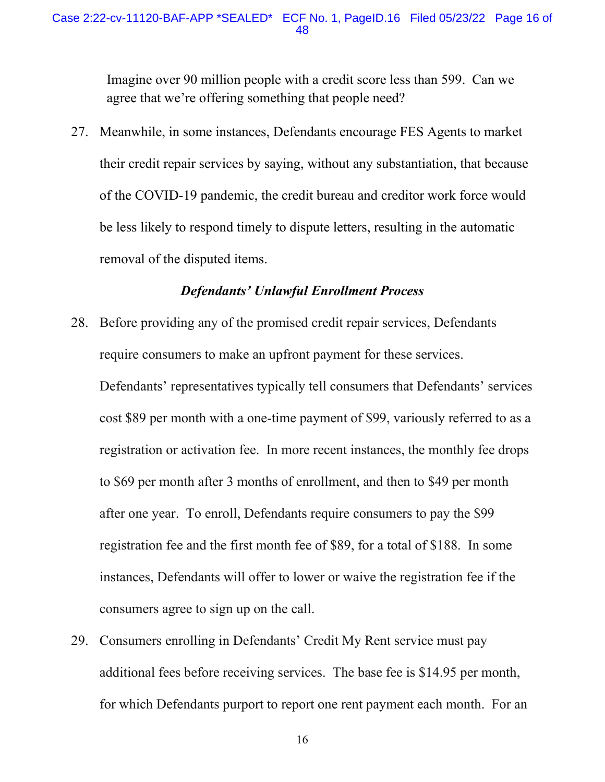## Case 2:22-cv-11120-BAF-APP \*SEALED\* ECF No. 1, [PageID.16](https://PageID.16) Filed 05/23/22 Page 16 of 48

Imagine over 90 million people with a credit score less than 599. Can we agree that we're offering something that people need?

 of the COVID-19 pandemic, the credit bureau and creditor work force would be less likely to respond timely to dispute letters, resulting in the automatic 27. Meanwhile, in some instances, Defendants encourage FES Agents to market their credit repair services by saying, without any substantiation, that because removal of the disputed items.

## *Defendants' Unlawful Enrollment Process*

require consumers to make an upfront payment for these services. 28. Before providing any of the promised credit repair services, Defendants

 after one year. To enroll, Defendants require consumers to pay the \$99 registration fee and the first month fee of \$89, for a total of \$188. In some instances, Defendants will offer to lower or waive the registration fee if the Defendants' representatives typically tell consumers that Defendants' services. cost \$89 per month with a one-time payment of \$99, variously referred to as a registration or activation fee. In more recent instances, the monthly fee drops to \$69 per month after 3 months of enrollment, and then to \$49 per month consumers agree to sign up on the call.

29. Consumers enrolling in Defendants' Credit My Rent service must pay additional fees before receiving services. The base fee is \$14.95 per month, for which Defendants purport to report one rent payment each month. For an

16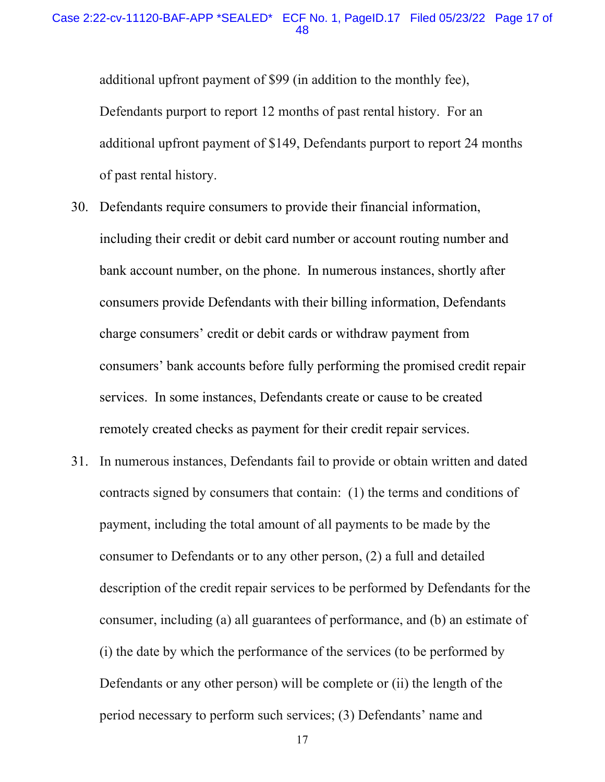#### Case 2:22-cv-11120-BAF-APP \*SEALED\* ECF No. 1, [PageID.17](https://PageID.17) Filed 05/23/22 Page 17 of 48

additional upfront payment of \$99 (in addition to the monthly fee), Defendants purport to report 12 months of past rental history. For an additional upfront payment of \$149, Defendants purport to report 24 months of past rental history.

- services. In some instances, Defendants create or cause to be created 30. Defendants require consumers to provide their financial information, including their credit or debit card number or account routing number and bank account number, on the phone. In numerous instances, shortly after consumers provide Defendants with their billing information, Defendants charge consumers' credit or debit cards or withdraw payment from consumers' bank accounts before fully performing the promised credit repair remotely created checks as payment for their credit repair services.
- 31. In numerous instances, Defendants fail to provide or obtain written and dated payment, including the total amount of all payments to be made by the consumer to Defendants or to any other person, (2) a full and detailed description of the credit repair services to be performed by Defendants for the Defendants or any other person) will be complete or (ii) the length of the contracts signed by consumers that contain: (1) the terms and conditions of consumer, including (a) all guarantees of performance, and (b) an estimate of (i) the date by which the performance of the services (to be performed by period necessary to perform such services; (3) Defendants' name and

17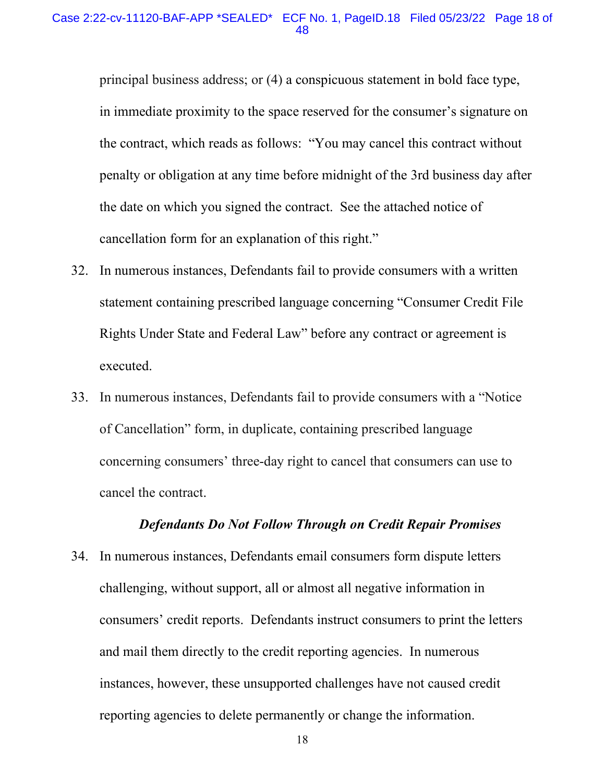#### Case 2:22-cv-11120-BAF-APP \*SEALED\* ECF No. 1, [PageID.18](https://PageID.18) Filed 05/23/22 Page 18 of 48

cancellation form for an explanation of this right." principal business address; or (4) a conspicuous statement in bold face type, in immediate proximity to the space reserved for the consumer's signature on the contract, which reads as follows: "You may cancel this contract without penalty or obligation at any time before midnight of the 3rd business day after the date on which you signed the contract. See the attached notice of

- 32. In numerous instances, Defendants fail to provide consumers with a written statement containing prescribed language concerning "Consumer Credit File Rights Under State and Federal Law" before any contract or agreement is executed.
- 33. In numerous instances, Defendants fail to provide consumers with a "Notice of Cancellation" form, in duplicate, containing prescribed language concerning consumers' three-day right to cancel that consumers can use to cancel the contract.

## *Defendants Do Not Follow Through on Credit Repair Promises*

 34. In numerous instances, Defendants email consumers form dispute letters challenging, without support, all or almost all negative information in and mail them directly to the credit reporting agencies. In numerous instances, however, these unsupported challenges have not caused credit reporting agencies to delete permanently or change the information.<br>18 consumers' credit reports. Defendants instruct consumers to print the letters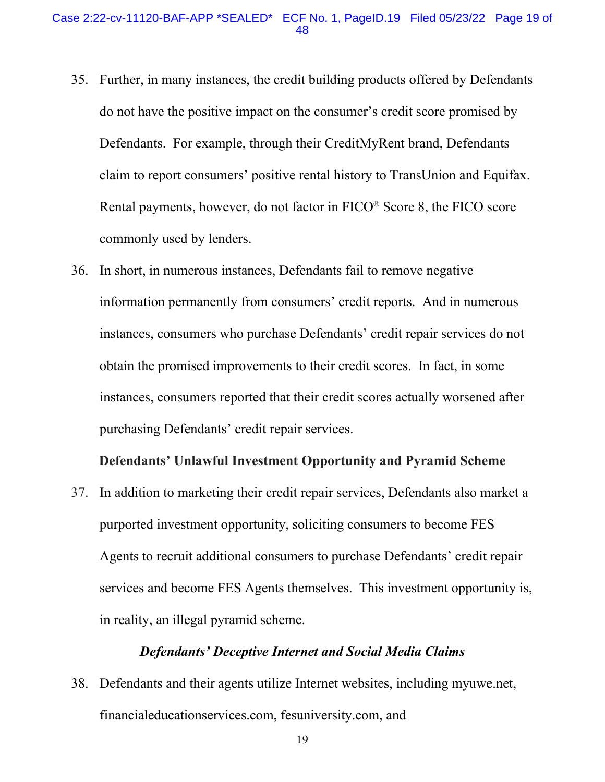- do not have the positive impact on the consumer's credit score promised by Defendants. For example, through their CreditMyRent brand, Defendants claim to report consumers' positive rental history to TransUnion and Equifax. commonly used by lenders. commonly used by lenders. 36. In short, in numerous instances, Defendants fail to remove negative 35. Further, in many instances, the credit building products offered by Defendants Rental payments, however, do not factor in  $FICO^®$  Score 8, the  $FICO$  score
- obtain the promised improvements to their credit scores. In fact, in some information permanently from consumers' credit reports. And in numerous instances, consumers who purchase Defendants' credit repair services do not instances, consumers reported that their credit scores actually worsened after purchasing Defendants' credit repair services.

#### **Defendants' Unlawful Investment Opportunity and Pyramid Scheme**

 37. In addition to marketing their credit repair services, Defendants also market a Agents to recruit additional consumers to purchase Defendants' credit repair in reality, an illegal pyramid scheme. purported investment opportunity, soliciting consumers to become FES services and become FES Agents themselves. This investment opportunity is,

## *Defendants' Deceptive Internet and Social Media Claims*

38. Defendants and their agents utilize Internet websites, including [myuwe.net](https://myuwe.net), [financialeducationservices.com](https://financialeducationservices.com), [fesuniversity.com,](https://fesuniversity.com) and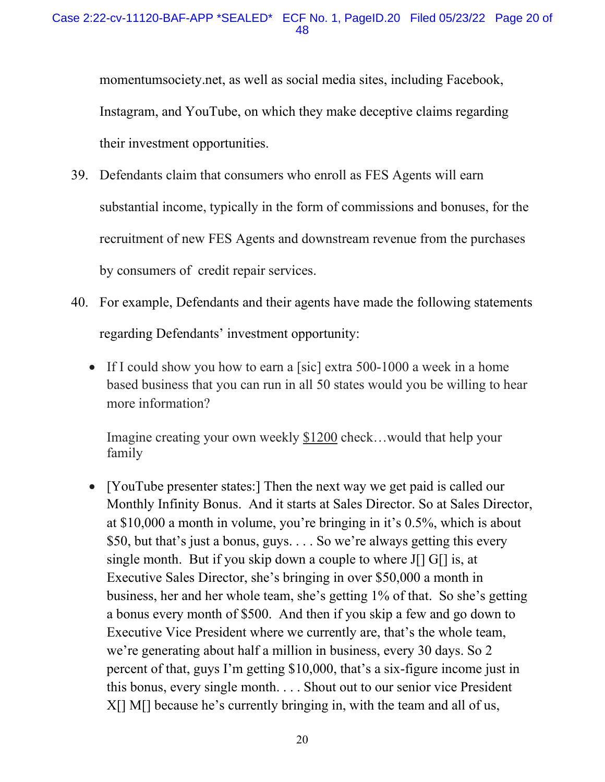[momentumsociety.net,](https://momentumsociety.net) as well as social media sites, including Facebook, Instagram, and YouTube, on which they make deceptive claims regarding their investment opportunities.

- by consumers of credit repair services. 39. Defendants claim that consumers who enroll as FES Agents will earn substantial income, typically in the form of commissions and bonuses, for the recruitment of new FES Agents and downstream revenue from the purchases
- 40. For example, Defendants and their agents have made the following statements regarding Defendants' investment opportunity:
	- If I could show you how to earn a [sic] extra 500-1000 a week in a home based business that you can run in all 50 states would you be willing to hear more information?

Imagine creating your own weekly  $$1200$  check...would that help your family

 \$50, but that's just a bonus, guys. . . . So we're always getting this every single month. But if you skip down a couple to where J[] G[] is, at a bonus every month of \$500. And then if you skip a few and go down to Executive Vice President where we currently are, that's the whole team, percent of that, guys I'm getting \$10,000, that's a six-figure income just in this bonus, every single month. . . . Shout out to our senior vice President X[] M[] because he's currently bringing in, with the team and all of us, • [YouTube presenter states:] Then the next way we get paid is called our Monthly Infinity Bonus. And it starts at Sales Director. So at Sales Director, at \$10,000 a month in volume, you're bringing in it's 0.5%, which is about Executive Sales Director, she's bringing in over \$50,000 a month in business, her and her whole team, she's getting 1% of that. So she's getting we're generating about half a million in business, every 30 days. So 2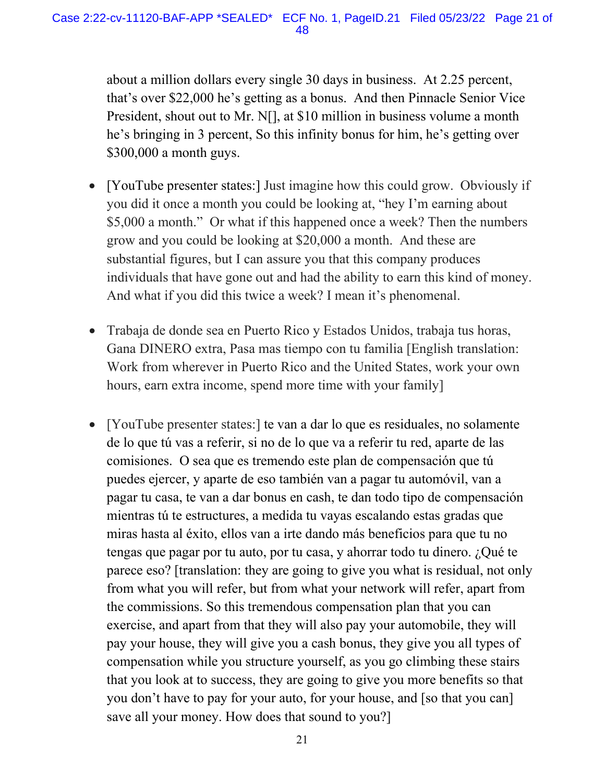that's over \$22,000 he's getting as a bonus. And then Pinnacle Senior Vice he's bringing in 3 percent, So this infinity bonus for him, he's getting over about a million dollars every single 30 days in business. At 2.25 percent, President, shout out to Mr. N[], at \$10 million in business volume a month \$300,000 a month guys.

- grow and you could be looking at \$20,000 a month. And these are individuals that have gone out and had the ability to earn this kind of money. And what if you did this twice a week? I mean it's phenomenal. • [YouTube presenter states:] Just imagine how this could grow. Obviously if you did it once a month you could be looking at, "hey I'm earning about \$5,000 a month." Or what if this happened once a week? Then the numbers substantial figures, but I can assure you that this company produces
- Work from wherever in Puerto Rico and the United States, work your own • Trabaja de donde sea en Puerto Rico y Estados Unidos, trabaja tus horas, Gana DINERO extra, Pasa mas tiempo con tu familia [English translation: hours, earn extra income, spend more time with your family]
- • [YouTube presenter states:] te van a dar lo que es residuales, no solamente comisiones. O sea que es tremendo este plan de compensación que tú miras hasta al éxito, ellos van a irte dando más beneficios para que tu no tengas que pagar por tu auto, por tu casa, y ahorrar todo tu dinero. ¿Qué te save all your money. How does that sound to you?] de lo que tú vas a referir, si no de lo que va a referir tu red, aparte de las puedes ejercer, y aparte de eso también van a pagar tu automóvil, van a pagar tu casa, te van a dar bonus en cash, te dan todo tipo de compensación mientras tú te estructures, a medida tu vayas escalando estas gradas que parece eso? [translation: they are going to give you what is residual, not only from what you will refer, but from what your network will refer, apart from the commissions. So this tremendous compensation plan that you can exercise, and apart from that they will also pay your automobile, they will pay your house, they will give you a cash bonus, they give you all types of compensation while you structure yourself, as you go climbing these stairs that you look at to success, they are going to give you more benefits so that you don't have to pay for your auto, for your house, and [so that you can]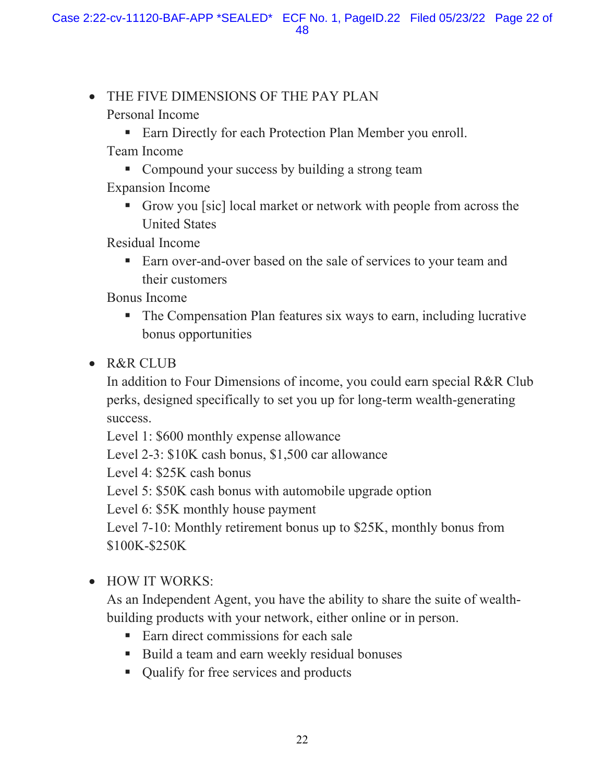- THE FIVE DIMENSIONS OF THE PAY PLAN
	- Personal Income
		- Earn Directly for each Protection Plan Member you enroll.
	- Team Income
		- Compound your success by building a strong team
	- Expansion Income
		- Grow you [sic] local market or network with people from across the United States
	- Residual Income
		- Earn over-and-over based on the sale of services to your team and their customers

Bonus Income

- The Compensation Plan features six ways to earn, including lucrative bonus opportunities
- R&R CLUB

In addition to Four Dimensions of income, you could earn special R&R Club perks, designed specifically to set you up for long-term wealth-generating success.

Level 1: \$600 monthly expense allowance

Level 2-3: \$10K cash bonus, \$1,500 car allowance

Level 4: \$25K cash bonus

Level 5: \$50K cash bonus with automobile upgrade option

Level 6: \$5K monthly house payment

Level 7-10: Monthly retirement bonus up to \$25K, monthly bonus from \$100K-\$250K

• HOW IT WORKS:

As an Independent Agent, you have the ability to share the suite of wealthbuilding products with your network, either online or in person.

- Earn direct commissions for each sale
- Build a team and earn weekly residual bonuses
- Qualify for free services and products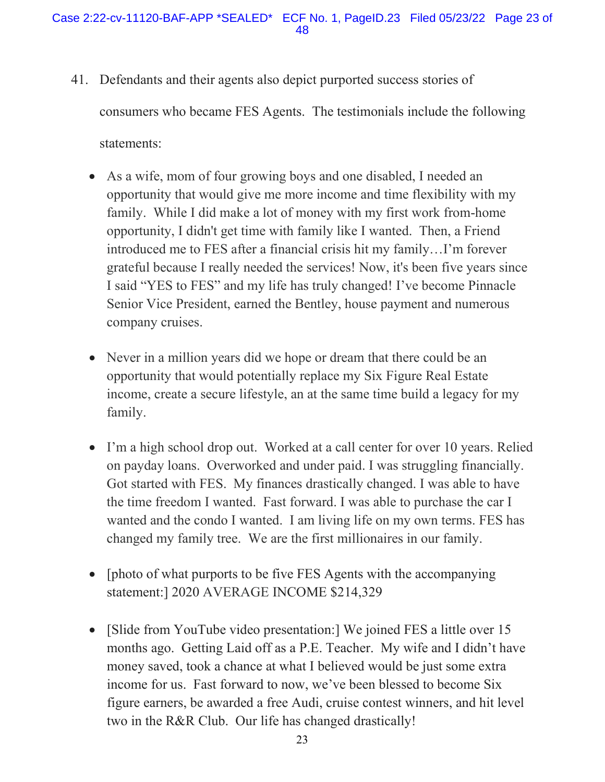41. Defendants and their agents also depict purported success stories of

consumers who became FES Agents. The testimonials include the following

statements:

- family. While I did make a lot of money with my first work from-home opportunity, I didn't get time with family like I wanted. Then, a Friend grateful because I really needed the services! Now, it's been five years since I said "YES to FES" and my life has truly changed! I've become Pinnacle • As a wife, mom of four growing boys and one disabled, I needed an opportunity that would give me more income and time flexibility with my introduced me to FES after a financial crisis hit my family…I'm forever Senior Vice President, earned the Bentley, house payment and numerous company cruises.
- • Never in a million years did we hope or dream that there could be an income, create a secure lifestyle, an at the same time build a legacy for my opportunity that would potentially replace my Six Figure Real Estate family.
- • I'm a high school drop out. Worked at a call center for over 10 years. Relied Got started with FES. My finances drastically changed. I was able to have the time freedom I wanted. Fast forward. I was able to purchase the car I wanted and the condo I wanted. I am living life on my own terms. FES has changed my family tree. We are the first millionaires in our family. on payday loans. Overworked and under paid. I was struggling financially.
- • [photo of what purports to be five FES Agents with the accompanying statement:] 2020 AVERAGE INCOME \$214,329
- [Slide from YouTube video presentation:] We joined FES a little over 15 months ago. Getting Laid off as a P.E. Teacher. My wife and I didn't have money saved, took a chance at what I believed would be just some extra income for us. Fast forward to now, we've been blessed to become Six figure earners, be awarded a free Audi, cruise contest winners, and hit level two in the R&R Club. Our life has changed drastically!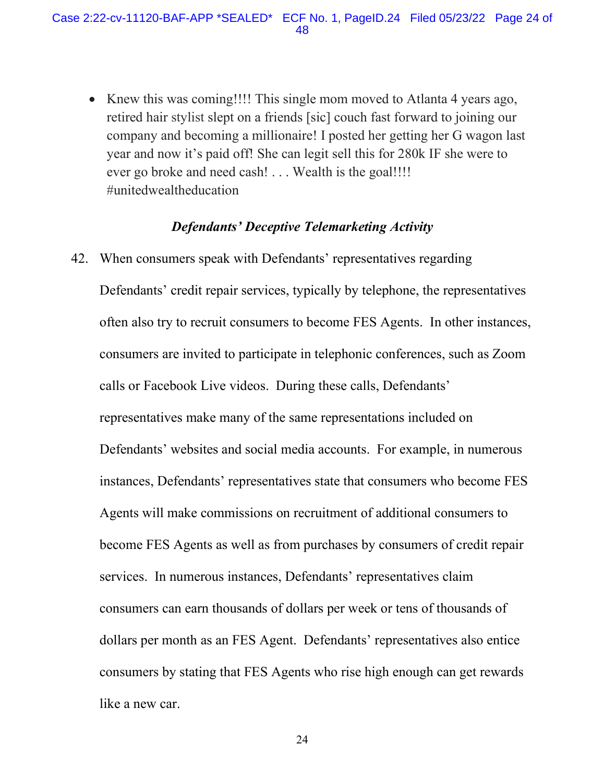• Knew this was coming!!!! This single mom moved to Atlanta 4 years ago, retired hair stylist slept on a friends [sic] couch fast forward to joining our company and becoming a millionaire! I posted her getting her G wagon last year and now it's paid off! She can legit sell this for 280k IF she were to ever go broke and need cash! . . . Wealth is the goal!!!! #unitedwealtheducation

## *Defendants' Deceptive Telemarketing Activity*

 often also try to recruit consumers to become FES Agents. In other instances, representatives make many of the same representations included on instances, Defendants' representatives state that consumers who become FES dollars per month as an FES Agent. Defendants' representatives also entice 42. When consumers speak with Defendants' representatives regarding Defendants' credit repair services, typically by telephone, the representatives consumers are invited to participate in telephonic conferences, such as Zoom calls or Facebook Live videos. During these calls, Defendants' Defendants' websites and social media accounts. For example, in numerous Agents will make commissions on recruitment of additional consumers to become FES Agents as well as from purchases by consumers of credit repair services. In numerous instances, Defendants' representatives claim consumers can earn thousands of dollars per week or tens of thousands of consumers by stating that FES Agents who rise high enough can get rewards like a new car.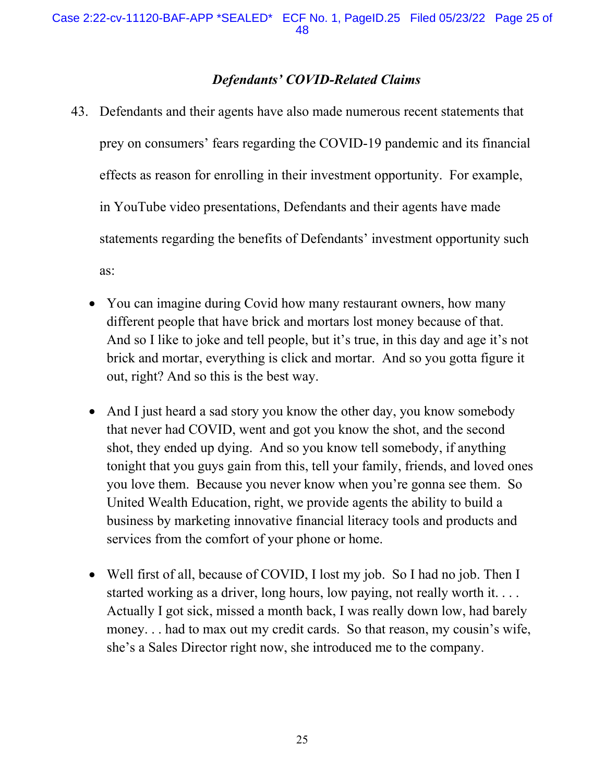# *Defendants' COVID-Related Claims*

- 43. Defendants and their agents have also made numerous recent statements that prey on consumers' fears regarding the COVID-19 pandemic and its financial effects as reason for enrolling in their investment opportunity. For example, in YouTube video presentations, Defendants and their agents have made statements regarding the benefits of Defendants' investment opportunity such as:
	- different people that have brick and mortars lost money because of that. different people that have brick and mortars lost money because of that.<br>And so I like to joke and tell people, but it's true, in this day and age it's not • You can imagine during Covid how many restaurant owners, how many brick and mortar, everything is click and mortar. And so you gotta figure it out, right? And so this is the best way.
	- shot, they ended up dying. And so you know tell somebody, if anything tonight that you guys gain from this, tell your family, friends, and loved ones you love them. Because you never know when you're gonna see them. So • And I just heard a sad story you know the other day, you know somebody that never had COVID, went and got you know the shot, and the second United Wealth Education, right, we provide agents the ability to build a business by marketing innovative financial literacy tools and products and services from the comfort of your phone or home.
	- • Well first of all, because of COVID, I lost my job. So I had no job. Then I money. . . had to max out my credit cards. So that reason, my cousin's wife, she's a Sales Director right now, she introduced me to the company. started working as a driver, long hours, low paying, not really worth it.... Actually I got sick, missed a month back, I was really down low, had barely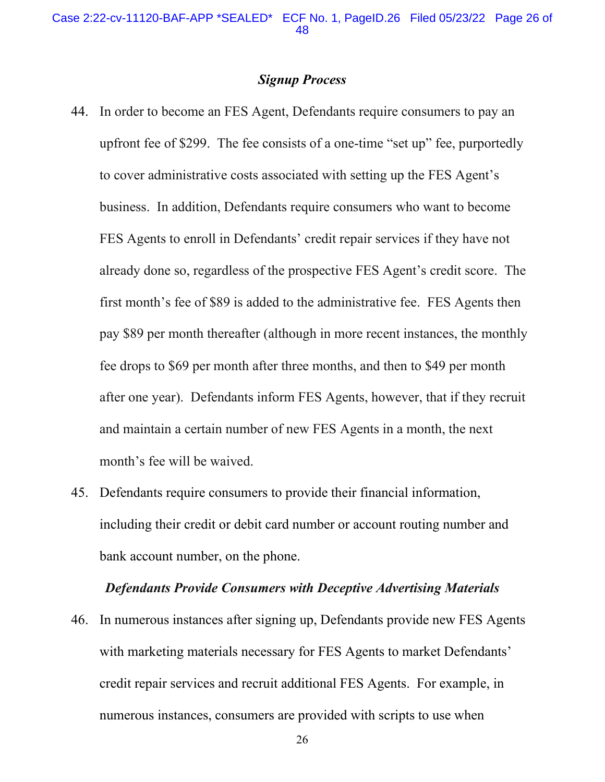#### *Signup Process*

- upfront fee of \$299. The fee consists of a one-time "set up" fee, purportedly FES Agents to enroll in Defendants' credit repair services if they have not 44. In order to become an FES Agent, Defendants require consumers to pay an to cover administrative costs associated with setting up the FES Agent's business. In addition, Defendants require consumers who want to become already done so, regardless of the prospective FES Agent's credit score. The first month's fee of \$89 is added to the administrative fee. FES Agents then pay \$89 per month thereafter (although in more recent instances, the monthly fee drops to \$69 per month after three months, and then to \$49 per month after one year). Defendants inform FES Agents, however, that if they recruit and maintain a certain number of new FES Agents in a month, the next month's fee will be waived.
- bank account number, on the phone. 45. Defendants require consumers to provide their financial information, including their credit or debit card number or account routing number and

#### *Defendants Provide Consumers with Deceptive Advertising Materials*

 with marketing materials necessary for FES Agents to market Defendants' 46. In numerous instances after signing up, Defendants provide new FES Agents credit repair services and recruit additional FES Agents. For example, in numerous instances, consumers are provided with scripts to use when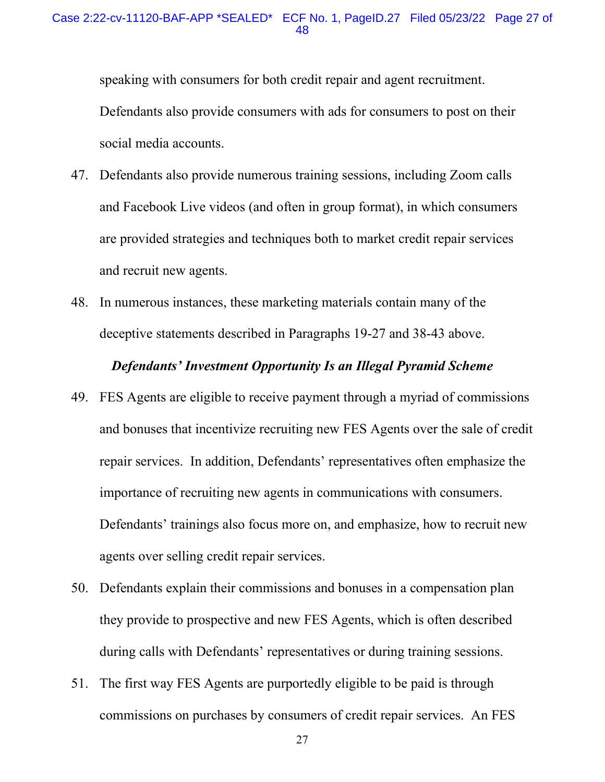speaking with consumers for both credit repair and agent recruitment. Defendants also provide consumers with ads for consumers to post on their social media accounts.

- 47. Defendants also provide numerous training sessions, including Zoom calls and Facebook Live videos (and often in group format), in which consumers are provided strategies and techniques both to market credit repair services and recruit new agents.
- 48. In numerous instances, these marketing materials contain many of the deceptive statements described in Paragraphs 19-27 and 38-43 above.

## *Defendants' Investment Opportunity Is an Illegal Pyramid Scheme*

- and bonuses that incentivize recruiting new FES Agents over the sale of credit repair services. In addition, Defendants' representatives often emphasize the Defendants' trainings also focus more on, and emphasize, how to recruit new 49. FES Agents are eligible to receive payment through a myriad of commissions importance of recruiting new agents in communications with consumers. agents over selling credit repair services.
- they provide to prospective and new FES Agents, which is often described 50. Defendants explain their commissions and bonuses in a compensation plan during calls with Defendants' representatives or during training sessions.
- commissions on purchases by consumers of credit repair services. An FES 51. The first way FES Agents are purportedly eligible to be paid is through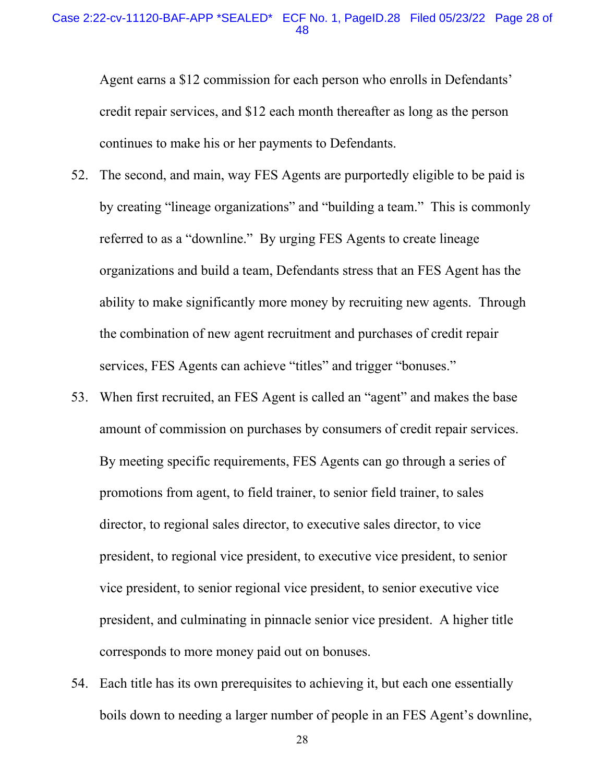#### Case 2:22-cv-11120-BAF-APP \*SEALED\* ECF No. 1, [PageID.28](https://PageID.28) Filed 05/23/22 Page 28 of 48

 continues to make his or her payments to Defendants. Agent earns a \$12 commission for each person who enrolls in Defendants' credit repair services, and \$12 each month thereafter as long as the person

- organizations and build a team, Defendants stress that an FES Agent has the the combination of new agent recruitment and purchases of credit repair 52. The second, and main, way FES Agents are purportedly eligible to be paid is by creating "lineage organizations" and "building a team." This is commonly referred to as a "downline." By urging FES Agents to create lineage ability to make significantly more money by recruiting new agents. Through services, FES Agents can achieve "titles" and trigger "bonuses."
- 53. When first recruited, an FES Agent is called an "agent" and makes the base amount of commission on purchases by consumers of credit repair services. vice president, to senior regional vice president, to senior executive vice president, and culminating in pinnacle senior vice president. A higher title corresponds to more money paid out on bonuses. By meeting specific requirements, FES Agents can go through a series of promotions from agent, to field trainer, to senior field trainer, to sales director, to regional sales director, to executive sales director, to vice president, to regional vice president, to executive vice president, to senior
- 54. Each title has its own prerequisites to achieving it, but each one essentially boils down to needing a larger number of people in an FES Agent's downline,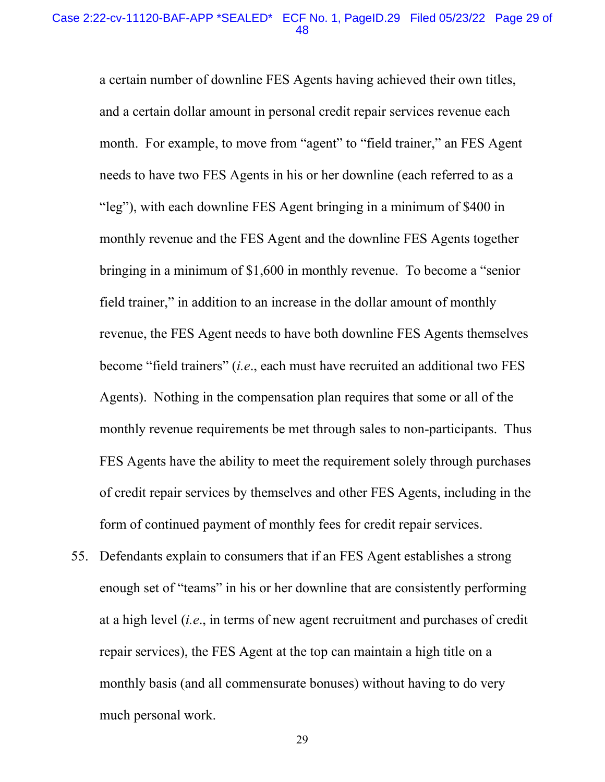month. For example, to move from "agent" to "field trainer," an FES Agent needs to have two FES Agents in his or her downline (each referred to as a Agents). Nothing in the compensation plan requires that some or all of the a certain number of downline FES Agents having achieved their own titles, and a certain dollar amount in personal credit repair services revenue each "leg"), with each downline FES Agent bringing in a minimum of \$400 in monthly revenue and the FES Agent and the downline FES Agents together bringing in a minimum of \$1,600 in monthly revenue. To become a "senior field trainer," in addition to an increase in the dollar amount of monthly revenue, the FES Agent needs to have both downline FES Agents themselves become "field trainers" (*i.e*., each must have recruited an additional two FES monthly revenue requirements be met through sales to non-participants. Thus FES Agents have the ability to meet the requirement solely through purchases of credit repair services by themselves and other FES Agents, including in the form of continued payment of monthly fees for credit repair services.

 monthly basis (and all commensurate bonuses) without having to do very much personal work.<br>29 55. Defendants explain to consumers that if an FES Agent establishes a strong enough set of "teams" in his or her downline that are consistently performing at a high level (*i.e*., in terms of new agent recruitment and purchases of credit repair services), the FES Agent at the top can maintain a high title on a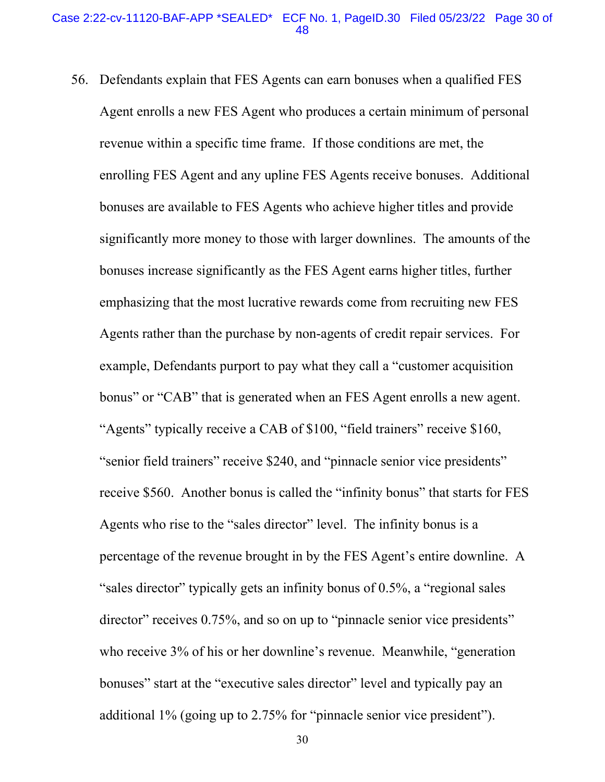Agent enrolls a new FES Agent who produces a certain minimum of personal enrolling FES Agent and any upline FES Agents receive bonuses. Additional bonuses are available to FES Agents who achieve higher titles and provide significantly more money to those with larger downlines. The amounts of the emphasizing that the most lucrative rewards come from recruiting new FES Agents rather than the purchase by non-agents of credit repair services. For bonus" or "CAB" that is generated when an FES Agent enrolls a new agent. "Agents" typically receive a CAB of \$100, "field trainers" receive \$160, percentage of the revenue brought in by the FES Agent's entire downline. A additional 1% (going up to 2.75% for "pinnacle senior vice president"). 56. Defendants explain that FES Agents can earn bonuses when a qualified FES revenue within a specific time frame. If those conditions are met, the bonuses increase significantly as the FES Agent earns higher titles, further example, Defendants purport to pay what they call a "customer acquisition " senior field trainers" receive \$240, and "pinnacle senior vice presidents" receive \$560. Another bonus is called the "infinity bonus" that starts for FES Agents who rise to the "sales director" level. The infinity bonus is a "sales director" typically gets an infinity bonus of 0.5%, a "regional sales director" receives 0.75%, and so on up to "pinnacle senior vice presidents" who receive 3% of his or her downline's revenue. Meanwhile, "generation bonuses" start at the "executive sales director" level and typically pay an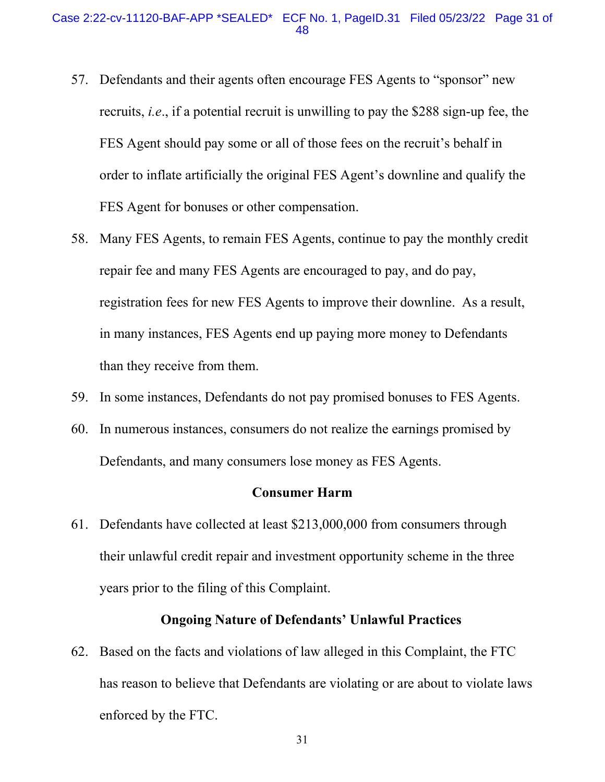- 57. Defendants and their agents often encourage FES Agents to "sponsor" new recruits, *i.e*., if a potential recruit is unwilling to pay the \$288 sign-up fee, the FES Agent should pay some or all of those fees on the recruit's behalf in order to inflate artificially the original FES Agent's downline and qualify the FES Agent for bonuses or other compensation.
- 58. Many FES Agents, to remain FES Agents, continue to pay the monthly credit repair fee and many FES Agents are encouraged to pay, and do pay, registration fees for new FES Agents to improve their downline. As a result, in many instances, FES Agents end up paying more money to Defendants than they receive from them.
- 59. In some instances, Defendants do not pay promised bonuses to FES Agents.
- 60. In numerous instances, consumers do not realize the earnings promised by Defendants, and many consumers lose money as FES Agents.

## **Consumer Harm**

61. Defendants have collected at least \$213,000,000 from consumers through their unlawful credit repair and investment opportunity scheme in the three years prior to the filing of this Complaint.

## **Ongoing Nature of Defendants' Unlawful Practices**

62. Based on the facts and violations of law alleged in this Complaint, the FTC has reason to believe that Defendants are violating or are about to violate laws enforced by the FTC.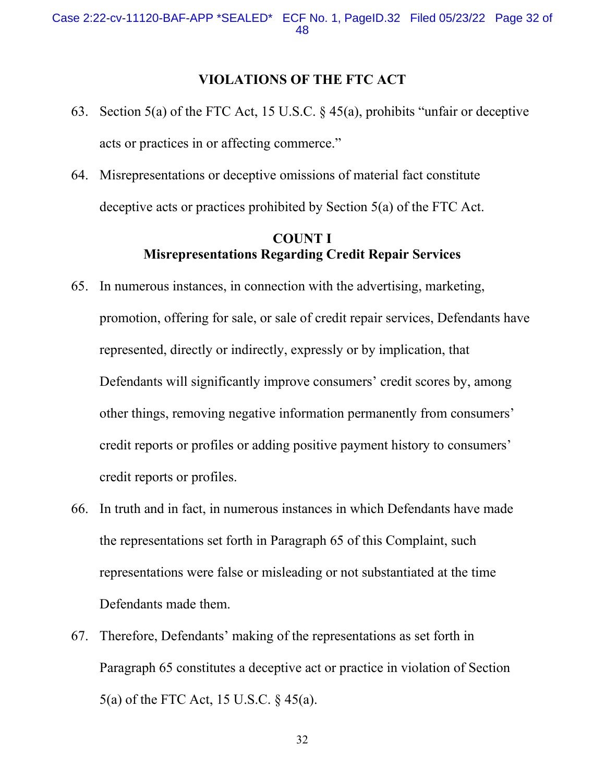## **VIOLATIONS OF THE FTC ACT**

- 63. Section 5(a) of the FTC Act, 15 U.S.C.  $\S$  45(a), prohibits "unfair or deceptive acts or practices in or affecting commerce."
- deceptive acts or practices prohibited by Section 5(a) of the FTC Act. 64. Misrepresentations or deceptive omissions of material fact constitute

## **Misrepresentations Regarding Credit Repair Services COUNT I**

- 65. In numerous instances, in connection with the advertising, marketing, promotion, offering for sale, or sale of credit repair services, Defendants have represented, directly or indirectly, expressly or by implication, that Defendants will significantly improve consumers' credit scores by, among other things, removing negative information permanently from consumers' credit reports or profiles or adding positive payment history to consumers' credit reports or profiles.
- 66. In truth and in fact, in numerous instances in which Defendants have made the representations set forth in Paragraph 65 of this Complaint, such representations were false or misleading or not substantiated at the time Defendants made them.
- 67. Therefore, Defendants' making of the representations as set forth in Paragraph 65 constitutes a deceptive act or practice in violation of Section 5(a) of the FTC Act, 15 U.S.C. § 45(a).

32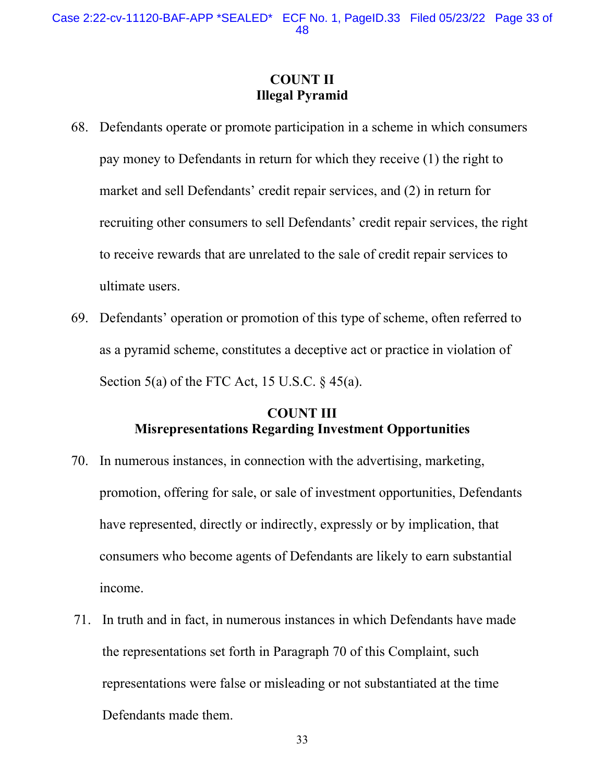# **COUNT II Illegal Pyramid**

- 68. Defendants operate or promote participation in a scheme in which consumers pay money to Defendants in return for which they receive (1) the right to market and sell Defendants' credit repair services, and (2) in return for recruiting other consumers to sell Defendants' credit repair services, the right to receive rewards that are unrelated to the sale of credit repair services to ultimate users.
- 69. Defendants' operation or promotion of this type of scheme, often referred to as a pyramid scheme, constitutes a deceptive act or practice in violation of Section 5(a) of the FTC Act, 15 U.S.C.  $\S$  45(a).

# **COUNT III Misrepresentations Regarding Investment Opportunities**

- 70. In numerous instances, in connection with the advertising, marketing, promotion, offering for sale, or sale of investment opportunities, Defendants have represented, directly or indirectly, expressly or by implication, that consumers who become agents of Defendants are likely to earn substantial income.
- 71. In truth and in fact, in numerous instances in which Defendants have made the representations set forth in Paragraph 70 of this Complaint, such representations were false or misleading or not substantiated at the time Defendants made them.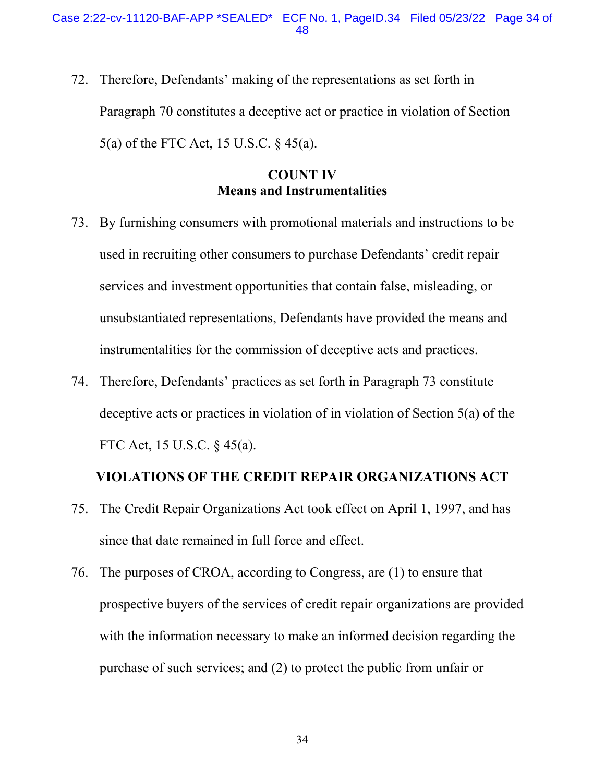5(a) of the FTC Act, 15 U.S.C. § 45(a). 72. Therefore, Defendants' making of the representations as set forth in Paragraph 70 constitutes a deceptive act or practice in violation of Section

# **COUNT IV Means and Instrumentalities**

- 73. By furnishing consumers with promotional materials and instructions to be used in recruiting other consumers to purchase Defendants' credit repair services and investment opportunities that contain false, misleading, or unsubstantiated representations, Defendants have provided the means and instrumentalities for the commission of deceptive acts and practices.
- FTC Act, 15 U.S.C. § 45(a). 74. Therefore, Defendants' practices as set forth in Paragraph 73 constitute deceptive acts or practices in violation of in violation of Section 5(a) of the

## **VIOLATIONS OF THE CREDIT REPAIR ORGANIZATIONS ACT**

- 75. The Credit Repair Organizations Act took effect on April 1, 1997, and has since that date remained in full force and effect.
- purchase of such services; and (2) to protect the public from unfair or 76. The purposes of CROA, according to Congress, are (1) to ensure that prospective buyers of the services of credit repair organizations are provided with the information necessary to make an informed decision regarding the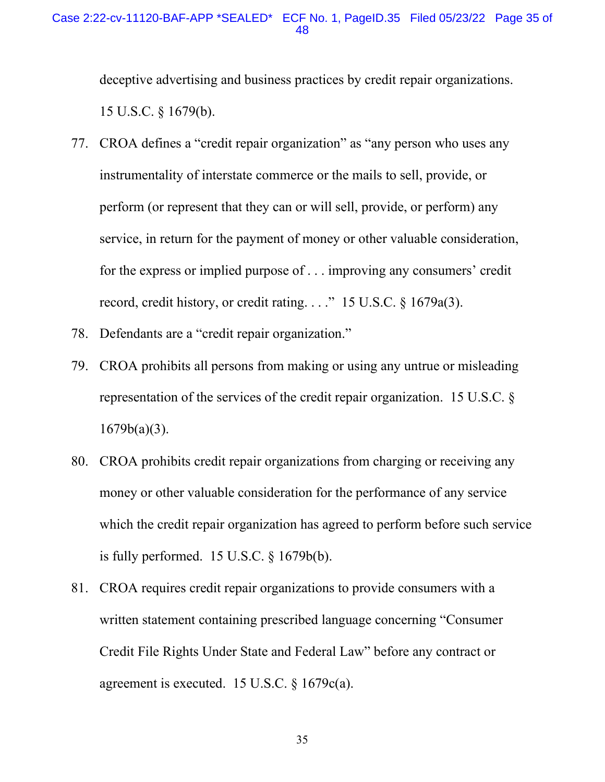### Case 2:22-cv-11120-BAF-APP \*SEALED\* ECF No. 1, [PageID.35](https://PageID.35) Filed 05/23/22 Page 35 of 48

deceptive advertising and business practices by credit repair organizations.<br>15 U.S.C. § 1679(b).

- 77. CROA defines a "credit repair organization" as "any person who uses any instrumentality of interstate commerce or the mails to sell, provide, or perform (or represent that they can or will sell, provide, or perform) any service, in return for the payment of money or other valuable consideration, for the express or implied purpose of . . . improving any consumers' credit record, credit history, or credit rating. . . ." 15 U.S.C. § 1679a(3).
- 78. Defendants are a "credit repair organization."
- 79. CROA prohibits all persons from making or using any untrue or misleading representation of the services of the credit repair organization. 15 U.S.C. §  $1679b(a)(3)$ .
- 80. CROA prohibits credit repair organizations from charging or receiving any money or other valuable consideration for the performance of any service which the credit repair organization has agreed to perform before such service is fully performed. 15 U.S.C. § 1679b(b).
- 81. CROA requires credit repair organizations to provide consumers with a written statement containing prescribed language concerning "Consumer Credit File Rights Under State and Federal Law" before any contract or agreement is executed. 15 U.S.C. § 1679c(a).

35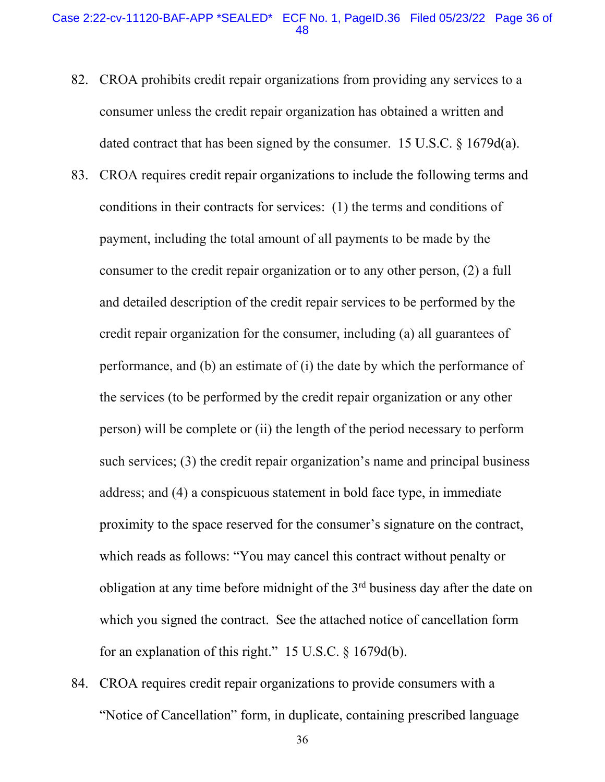#### Case 2:22-cv-11120-BAF-APP \*SEALED\* ECF No. 1, [PageID.36](https://PageID.36) Filed 05/23/22 Page 36 of 48

- 82. CROA prohibits credit repair organizations from providing any services to a consumer unless the credit repair organization has obtained a written and dated contract that has been signed by the consumer. 15 U.S.C. § 1679d(a).
- conditions in their contracts for services: (1) the terms and conditions of payment, including the total amount of all payments to be made by the the services (to be performed by the credit repair organization or any other person) will be complete or (ii) the length of the period necessary to perform proximity to the space reserved for the consumer's signature on the contract, 83. CROA requires credit repair organizations to include the following terms and consumer to the credit repair organization or to any other person, (2) a full and detailed description of the credit repair services to be performed by the credit repair organization for the consumer, including (a) all guarantees of performance, and (b) an estimate of (i) the date by which the performance of such services; (3) the credit repair organization's name and principal business address; and (4) a conspicuous statement in bold face type, in immediate which reads as follows: "You may cancel this contract without penalty or obligation at any time before midnight of the  $3<sup>rd</sup>$  business day after the date on which you signed the contract. See the attached notice of cancellation form for an explanation of this right." 15 U.S.C. § 1679d(b).
- 84. CROA requires credit repair organizations to provide consumers with a "Notice of Cancellation" form, in duplicate, containing prescribed language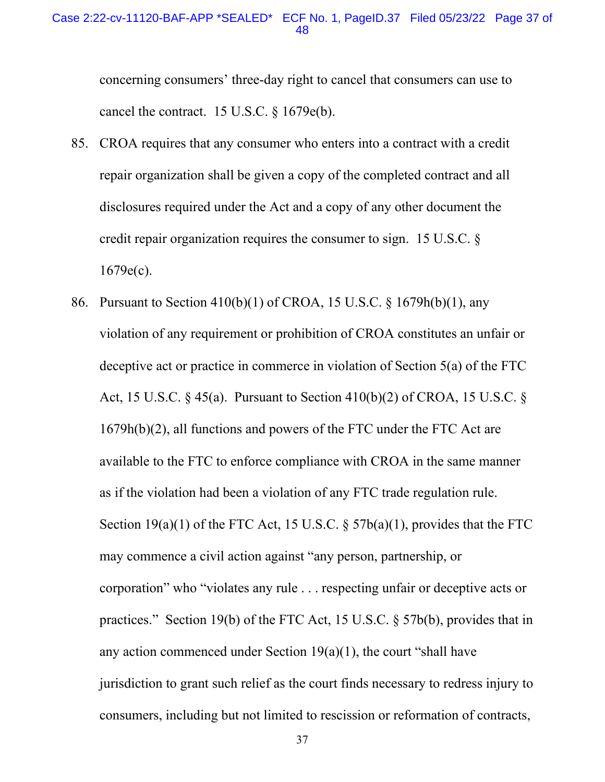#### Case 2:22-cv-11120-BAF-APP \*SEALED\* ECF No. 1, [PageID.37](https://PageID.37) Filed 05/23/22 Page 37 of 48

concerning consumers' three-day right to cancel that consumers can use to cancel the contract. 15 U.S.C. § 1679e(b).

- 85. CROA requires that any consumer who enters into a contract with a credit repair organization shall be given a copy of the completed contract and all disclosures required under the Act and a copy of any other document the credit repair organization requires the consumer to sign. 15 U.S.C. §  $1679e(c)$ .
- 1679h(b)(2), all functions and powers of the FTC under the FTC Act are as if the violation had been a violation of any FTC trade regulation rule. as if the violation had been a violation of any FTC trade regulation rule.<br>Section 19(a)(1) of the FTC Act, 15 U.S.C. § 57b(a)(1), provides that the FTC practices." Section 19(b) of the FTC Act, 15 U.S.C. § 57b(b), provides that in 86. Pursuant to Section 410(b)(1) of CROA, 15 U.S.C. § 1679h(b)(1), any violation of any requirement or prohibition of CROA constitutes an unfair or deceptive act or practice in commerce in violation of Section 5(a) of the FTC Act, 15 U.S.C. § 45(a). Pursuant to Section 410(b)(2) of CROA, 15 U.S.C. § available to the FTC to enforce compliance with CROA in the same manner may commence a civil action against "any person, partnership, or corporation" who "violates any rule . . . respecting unfair or deceptive acts or any action commenced under Section 19(a)(1), the court "shall have jurisdiction to grant such relief as the court finds necessary to redress injury to consumers, including but not limited to rescission or reformation of contracts,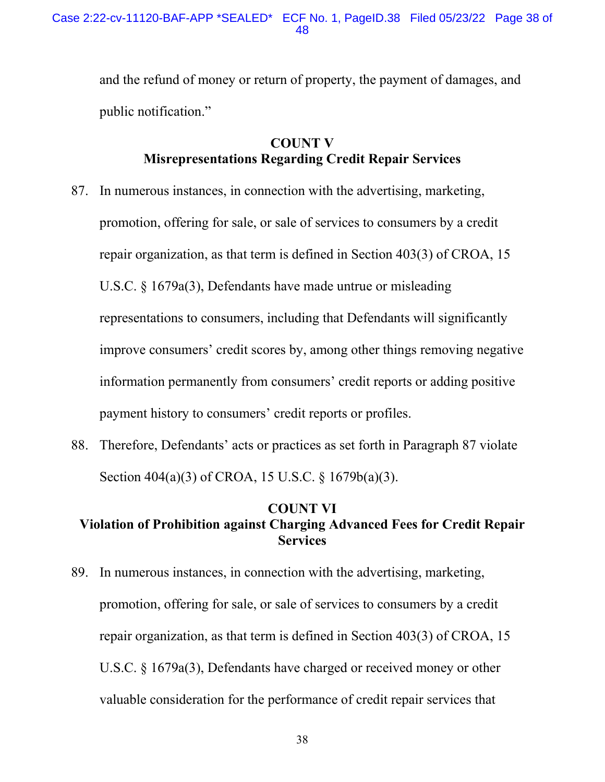and the refund of money or return of property, the payment of damages, and public notification."

# **Misrepresentations Regarding Credit Repair Services COUNT V**

- 87. In numerous instances, in connection with the advertising, marketing, promotion, offering for sale, or sale of services to consumers by a credit repair organization, as that term is defined in Section 403(3) of CROA, 15 U.S.C. § 1679a(3), Defendants have made untrue or misleading representations to consumers, including that Defendants will significantly improve consumers' credit scores by, among other things removing negative information permanently from consumers' credit reports or adding positive payment history to consumers' credit reports or profiles.
- 88. Therefore, Defendants' acts or practices as set forth in Paragraph 87 violate Section 404(a)(3) of CROA, 15 U.S.C. § 1679b(a)(3).

## **COUNT VI Violation of Prohibition against Charging Advanced Fees for Credit Repair Services**

 89. In numerous instances, in connection with the advertising, marketing, promotion, offering for sale, or sale of services to consumers by a credit repair organization, as that term is defined in Section 403(3) of CROA, 15 U.S.C. § 1679a(3), Defendants have charged or received money or other valuable consideration for the performance of credit repair services that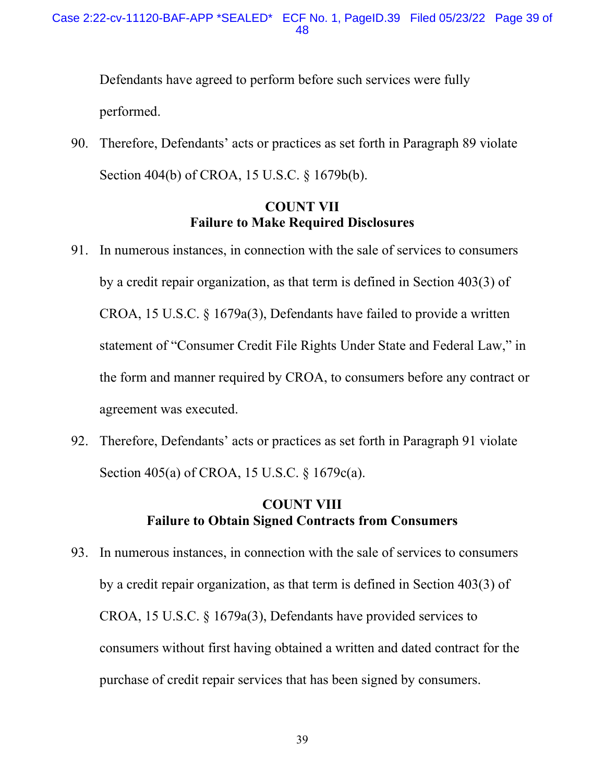Defendants have agreed to perform before such services were fully performed.

 Section 404(b) of CROA, 15 U.S.C. § 1679b(b). 90. Therefore, Defendants' acts or practices as set forth in Paragraph 89 violate

# **COUNT VII Failure to Make Required Disclosures**

- by a credit repair organization, as that term is defined in Section 403(3) of CROA, 15 U.S.C. § 1679a(3), Defendants have failed to provide a written 91. In numerous instances, in connection with the sale of services to consumers statement of "Consumer Credit File Rights Under State and Federal Law," in the form and manner required by CROA, to consumers before any contract or agreement was executed.
- 92. Therefore, Defendants' acts or practices as set forth in Paragraph 91 violate Section 405(a) of CROA, 15 U.S.C. § 1679c(a).

# **COUNT VIII Failure to Obtain Signed Contracts from Consumers**

 by a credit repair organization, as that term is defined in Section 403(3) of CROA, 15 U.S.C. § 1679a(3), Defendants have provided services to 93. In numerous instances, in connection with the sale of services to consumers consumers without first having obtained a written and dated contract for the purchase of credit repair services that has been signed by consumers.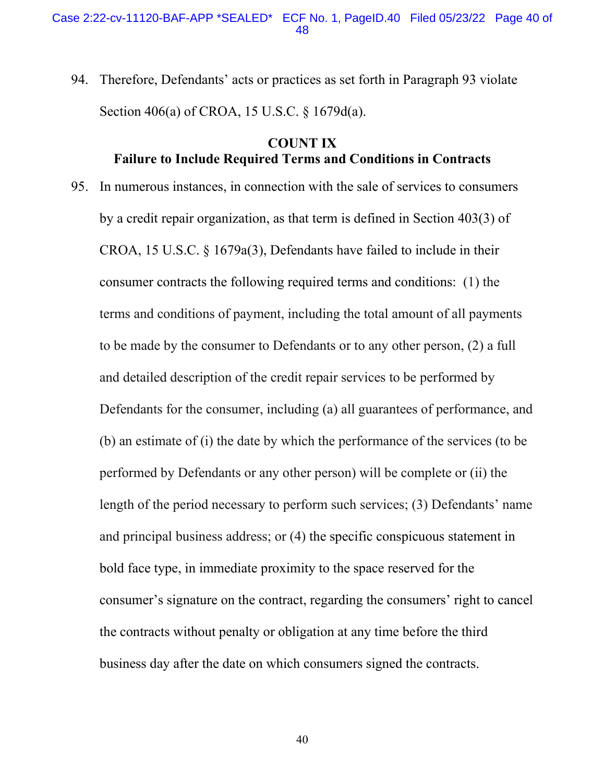94. Therefore, Defendants' acts or practices as set forth in Paragraph 93 violate Section 406(a) of CROA, 15 U.S.C. § 1679d(a).

# **COUNT IX Failure to Include Required Terms and Conditions in Contracts**

 by a credit repair organization, as that term is defined in Section 403(3) of CROA, 15 U.S.C. § 1679a(3), Defendants have failed to include in their to be made by the consumer to Defendants or to any other person, (2) a full (b) an estimate of (i) the date by which the performance of the services (to be performed by Defendants or any other person) will be complete or (ii) the the contracts without penalty or obligation at any time before the third 95. In numerous instances, in connection with the sale of services to consumers consumer contracts the following required terms and conditions: (1) the terms and conditions of payment, including the total amount of all payments and detailed description of the credit repair services to be performed by Defendants for the consumer, including (a) all guarantees of performance, and length of the period necessary to perform such services; (3) Defendants' name and principal business address; or (4) the specific conspicuous statement in bold face type, in immediate proximity to the space reserved for the consumer's signature on the contract, regarding the consumers' right to cancel business day after the date on which consumers signed the contracts.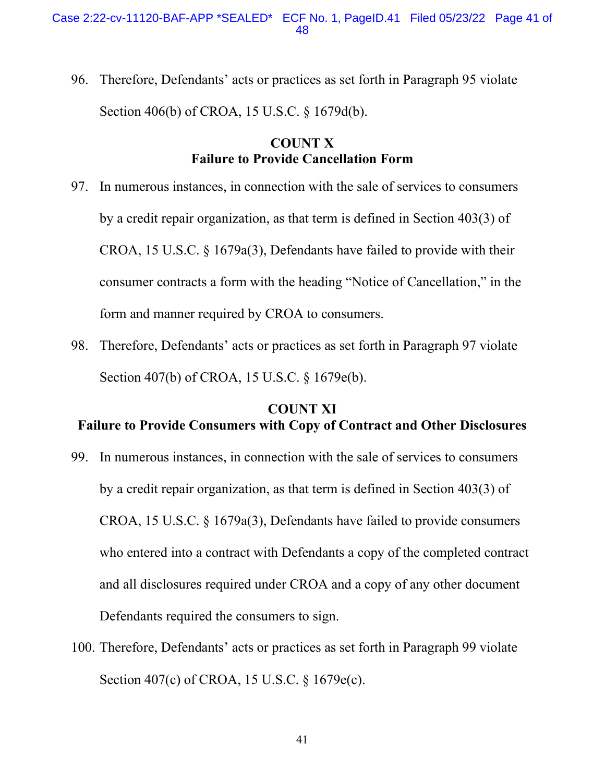Section 406(b) of CROA, 15 U.S.C. § 1679d(b). 96. Therefore, Defendants' acts or practices as set forth in Paragraph 95 violate

# **COUNT X Failure to Provide Cancellation Form**

- by a credit repair organization, as that term is defined in Section 403(3) of CROA, 15 U.S.C. § 1679a(3), Defendants have failed to provide with their consumer contracts a form with the heading "Notice of Cancellation," in the 97. In numerous instances, in connection with the sale of services to consumers form and manner required by CROA to consumers.
- Section 407(b) of CROA, 15 U.S.C. § 1679e(b). 98. Therefore, Defendants' acts or practices as set forth in Paragraph 97 violate

## **COUNT XI Failure to Provide Consumers with Copy of Contract and Other Disclosures**

- by a credit repair organization, as that term is defined in Section 403(3) of CROA, 15 U.S.C. § 1679a(3), Defendants have failed to provide consumers 99. In numerous instances, in connection with the sale of services to consumers who entered into a contract with Defendants a copy of the completed contract and all disclosures required under CROA and a copy of any other document Defendants required the consumers to sign.
- 100. Therefore, Defendants' acts or practices as set forth in Paragraph 99 violate Section 407(c) of CROA, 15 U.S.C. § 1679e(c).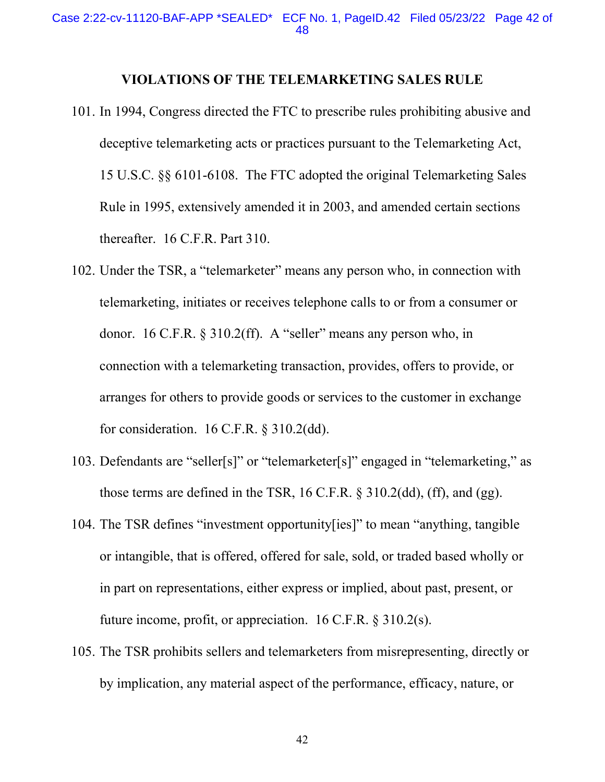#### **VIOLATIONS OF THE TELEMARKETING SALES RULE**

- 15 U.S.C. §§ 6101-6108. The FTC adopted the original Telemarketing Sales 101. In 1994, Congress directed the FTC to prescribe rules prohibiting abusive and deceptive telemarketing acts or practices pursuant to the Telemarketing Act, Rule in 1995, extensively amended it in 2003, and amended certain sections thereafter. 16 C.F.R. Part 310.
- donor. 16 C.F.R. § 310.2(ff). A "seller" means any person who, in arranges for others to provide goods or services to the customer in exchange 102. Under the TSR, a "telemarketer" means any person who, in connection with telemarketing, initiates or receives telephone calls to or from a consumer or connection with a telemarketing transaction, provides, offers to provide, or for consideration. 16 C.F.R. § 310.2(dd).
- 103. Defendants are "seller[s]" or "telemarketer[s]" engaged in "telemarketing," as those terms are defined in the TSR, 16 C.F.R. § 310.2(dd), (ff), and (gg).
- or intangible, that is offered, offered for sale, sold, or traded based wholly or in part on representations, either express or implied, about past, present, or 104. The TSR defines "investment opportunity[ies]" to mean "anything, tangible future income, profit, or appreciation. 16 C.F.R. § 310.2(s).
- 105. The TSR prohibits sellers and telemarketers from misrepresenting, directly or by implication, any material aspect of the performance, efficacy, nature, or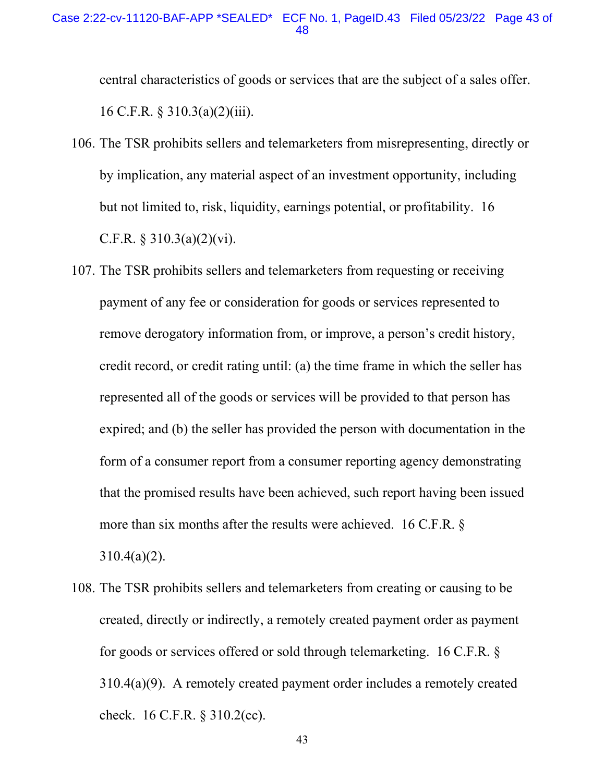central characteristics of goods or services that are the subject of a sales offer.<br>16 C.F.R. § 310.3(a)(2)(iii).

- but not limited to, risk, liquidity, earnings potential, or profitability. 16 106. The TSR prohibits sellers and telemarketers from misrepresenting, directly or by implication, any material aspect of an investment opportunity, including C.F.R.  $\S$  310.3(a)(2)(vi).
- credit record, or credit rating until: (a) the time frame in which the seller has represented all of the goods or services will be provided to that person has 107. The TSR prohibits sellers and telemarketers from requesting or receiving payment of any fee or consideration for goods or services represented to remove derogatory information from, or improve, a person's credit history, expired; and (b) the seller has provided the person with documentation in the form of a consumer report from a consumer reporting agency demonstrating that the promised results have been achieved, such report having been issued more than six months after the results were achieved. 16 C.F.R. §  $310.4(a)(2)$ .
- created, directly or indirectly, a remotely created payment order as payment for goods or services offered or sold through telemarketing. 16 C.F.R. § check. 16 C.F.R. § 310.2(cc). 108. The TSR prohibits sellers and telemarketers from creating or causing to be 310.4(a)(9). A remotely created payment order includes a remotely created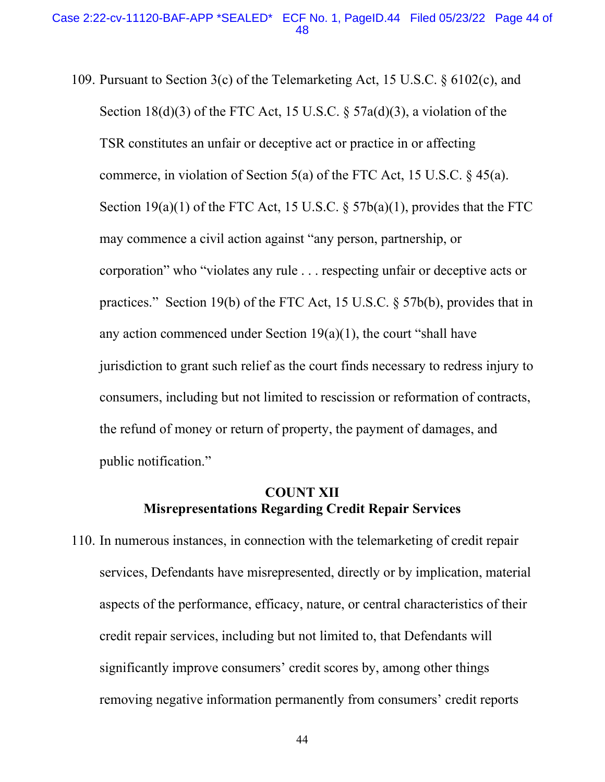109. Pursuant to Section 3(c) of the Telemarketing Act, 15 U.S.C. § 6102(c), and Section  $18(d)(3)$  of the FTC Act, 15 U.S.C. § 57a(d)(3), a violation of the commerce, in violation of Section 5(a) of the FTC Act, 15 U.S.C.  $\&$  45(a). commerce, in violation of Section 5(a) of the FTC Act, 15 U.S.C. § 45(a).<br>Section 19(a)(1) of the FTC Act, 15 U.S.C. § 57b(a)(1), provides that the FTC practices." Section 19(b) of the FTC Act, 15 U.S.C. § 57b(b), provides that in the refund of money or return of property, the payment of damages, and TSR constitutes an unfair or deceptive act or practice in or affecting may commence a civil action against "any person, partnership, or corporation" who "violates any rule . . . respecting unfair or deceptive acts or any action commenced under Section  $19(a)(1)$ , the court "shall have jurisdiction to grant such relief as the court finds necessary to redress injury to consumers, including but not limited to rescission or reformation of contracts, public notification."

## **Misrepresentations Regarding Credit Repair Services COUNT XII**

110. In numerous instances, in connection with the telemarketing of credit repair services, Defendants have misrepresented, directly or by implication, material aspects of the performance, efficacy, nature, or central characteristics of their credit repair services, including but not limited to, that Defendants will significantly improve consumers' credit scores by, among other things removing negative information permanently from consumers' credit reports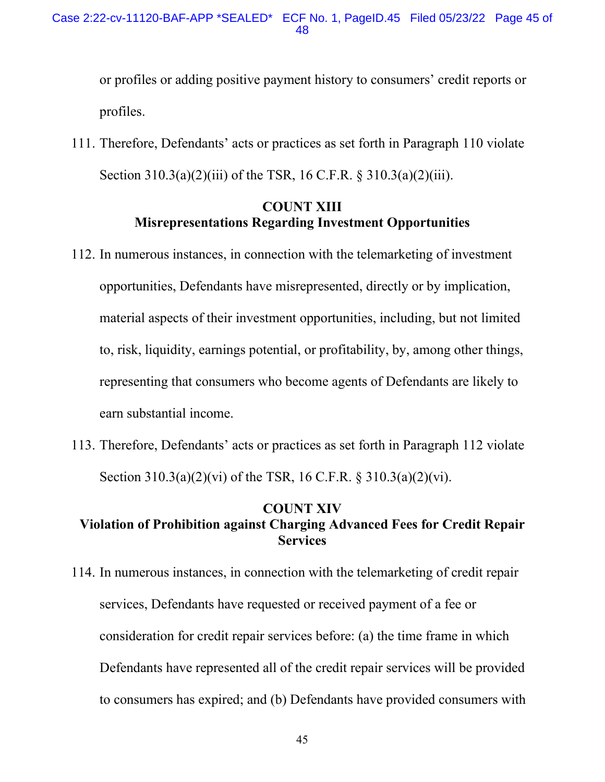or profiles or adding positive payment history to consumers' credit reports or profiles.

111. Therefore, Defendants' acts or practices as set forth in Paragraph 110 violate Section 310.3(a)(2)(iii) of the TSR, 16 C.F.R. § 310.3(a)(2)(iii).

# **COUNT XIII Misrepresentations Regarding Investment Opportunities**

- to, risk, liquidity, earnings potential, or profitability, by, among other things, 112. In numerous instances, in connection with the telemarketing of investment opportunities, Defendants have misrepresented, directly or by implication, material aspects of their investment opportunities, including, but not limited representing that consumers who become agents of Defendants are likely to earn substantial income.
- 113. Therefore, Defendants' acts or practices as set forth in Paragraph 112 violate Section 310.3(a)(2)(vi) of the TSR, 16 C.F.R. § 310.3(a)(2)(vi).

## **COUNT XIV Violation of Prohibition against Charging Advanced Fees for Credit Repair Services**

114. In numerous instances, in connection with the telemarketing of credit repair services, Defendants have requested or received payment of a fee or consideration for credit repair services before: (a) the time frame in which Defendants have represented all of the credit repair services will be provided to consumers has expired; and (b) Defendants have provided consumers with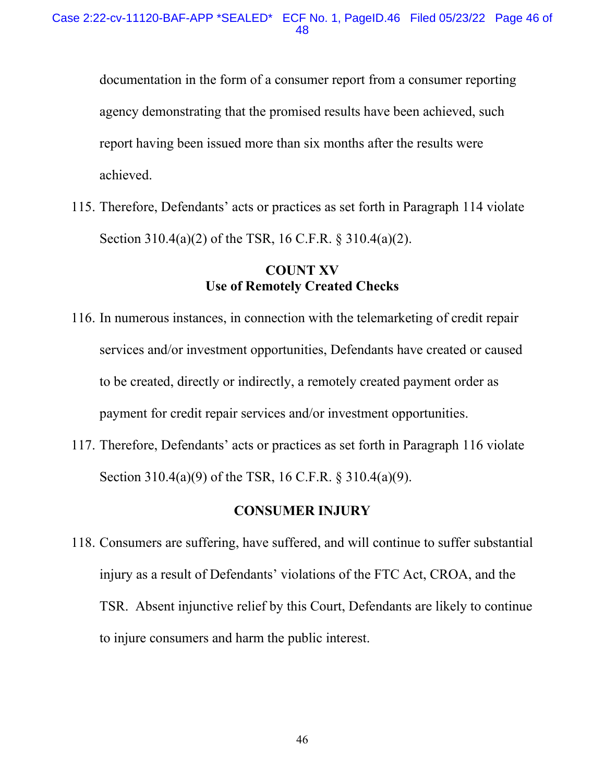documentation in the form of a consumer report from a consumer reporting agency demonstrating that the promised results have been achieved, such report having been issued more than six months after the results were achieved.

 Section 310.4(a)(2) of the TSR, 16 C.F.R. § 310.4(a)(2). 115. Therefore, Defendants' acts or practices as set forth in Paragraph 114 violate

## **COUNT XV Use of Remotely Created Checks**

- 116. In numerous instances, in connection with the telemarketing of credit repair services and/or investment opportunities, Defendants have created or caused to be created, directly or indirectly, a remotely created payment order as payment for credit repair services and/or investment opportunities.
- Section 310.4(a)(9) of the TSR, 16 C.F.R. § 310.4(a)(9). 117. Therefore, Defendants' acts or practices as set forth in Paragraph 116 violate

## **CONSUMER INJURY**

 injury as a result of Defendants' violations of the FTC Act, CROA, and the to injure consumers and harm the public interest. 118. Consumers are suffering, have suffered, and will continue to suffer substantial TSR. Absent injunctive relief by this Court, Defendants are likely to continue to injure consumers and harm the public interest.<br>
46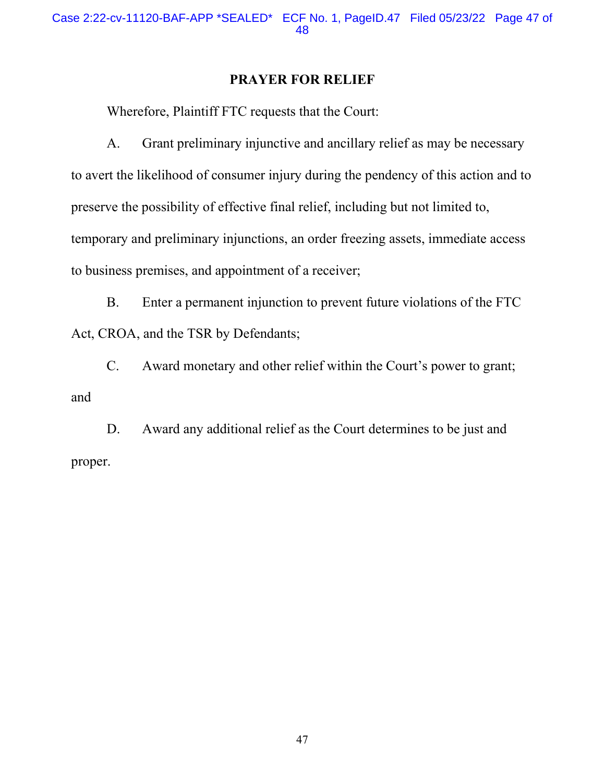## **PRAYER FOR RELIEF**

Wherefore, Plaintiff FTC requests that the Court:

A. Grant preliminary injunctive and ancillary relief as may be necessary to avert the likelihood of consumer injury during the pendency of this action and to preserve the possibility of effective final relief, including but not limited to, temporary and preliminary injunctions, an order freezing assets, immediate access to business premises, and appointment of a receiver;

B. Enter a permanent injunction to prevent future violations of the FTC Act, CROA, and the TSR by Defendants;

C. Award monetary and other relief within the Court's power to grant; and

D. Award any additional relief as the Court determines to be just and proper.